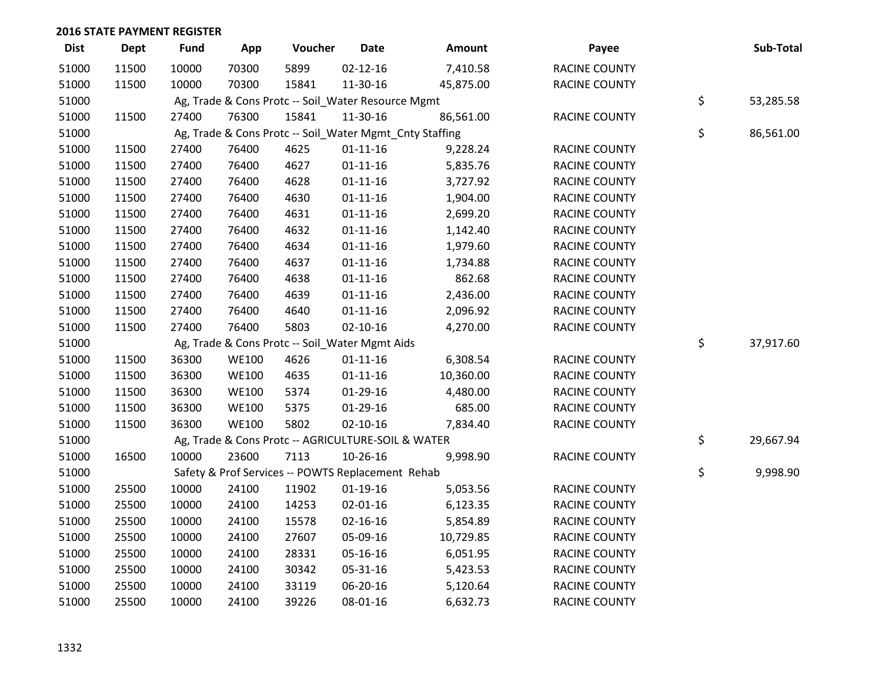| <b>Dist</b> | <b>Dept</b> | <b>Fund</b> | App          | Voucher | <b>Date</b>                                             | Amount    | Payee                | Sub-Total       |
|-------------|-------------|-------------|--------------|---------|---------------------------------------------------------|-----------|----------------------|-----------------|
| 51000       | 11500       | 10000       | 70300        | 5899    | $02 - 12 - 16$                                          | 7,410.58  | <b>RACINE COUNTY</b> |                 |
| 51000       | 11500       | 10000       | 70300        | 15841   | 11-30-16                                                | 45,875.00 | RACINE COUNTY        |                 |
| 51000       |             |             |              |         | Ag, Trade & Cons Protc -- Soil_Water Resource Mgmt      |           |                      | \$<br>53,285.58 |
| 51000       | 11500       | 27400       | 76300        | 15841   | 11-30-16                                                | 86,561.00 | RACINE COUNTY        |                 |
| 51000       |             |             |              |         | Ag, Trade & Cons Protc -- Soil_Water Mgmt_Cnty Staffing |           |                      | \$<br>86,561.00 |
| 51000       | 11500       | 27400       | 76400        | 4625    | $01 - 11 - 16$                                          | 9,228.24  | RACINE COUNTY        |                 |
| 51000       | 11500       | 27400       | 76400        | 4627    | $01 - 11 - 16$                                          | 5,835.76  | RACINE COUNTY        |                 |
| 51000       | 11500       | 27400       | 76400        | 4628    | $01 - 11 - 16$                                          | 3,727.92  | RACINE COUNTY        |                 |
| 51000       | 11500       | 27400       | 76400        | 4630    | $01 - 11 - 16$                                          | 1,904.00  | RACINE COUNTY        |                 |
| 51000       | 11500       | 27400       | 76400        | 4631    | $01 - 11 - 16$                                          | 2,699.20  | RACINE COUNTY        |                 |
| 51000       | 11500       | 27400       | 76400        | 4632    | $01 - 11 - 16$                                          | 1,142.40  | RACINE COUNTY        |                 |
| 51000       | 11500       | 27400       | 76400        | 4634    | $01 - 11 - 16$                                          | 1,979.60  | RACINE COUNTY        |                 |
| 51000       | 11500       | 27400       | 76400        | 4637    | $01 - 11 - 16$                                          | 1,734.88  | RACINE COUNTY        |                 |
| 51000       | 11500       | 27400       | 76400        | 4638    | $01 - 11 - 16$                                          | 862.68    | <b>RACINE COUNTY</b> |                 |
| 51000       | 11500       | 27400       | 76400        | 4639    | $01 - 11 - 16$                                          | 2,436.00  | <b>RACINE COUNTY</b> |                 |
| 51000       | 11500       | 27400       | 76400        | 4640    | $01 - 11 - 16$                                          | 2,096.92  | RACINE COUNTY        |                 |
| 51000       | 11500       | 27400       | 76400        | 5803    | $02 - 10 - 16$                                          | 4,270.00  | RACINE COUNTY        |                 |
| 51000       |             |             |              |         | Ag, Trade & Cons Protc -- Soil_Water Mgmt Aids          |           |                      | \$<br>37,917.60 |
| 51000       | 11500       | 36300       | <b>WE100</b> | 4626    | $01 - 11 - 16$                                          | 6,308.54  | RACINE COUNTY        |                 |
| 51000       | 11500       | 36300       | <b>WE100</b> | 4635    | $01 - 11 - 16$                                          | 10,360.00 | RACINE COUNTY        |                 |
| 51000       | 11500       | 36300       | <b>WE100</b> | 5374    | 01-29-16                                                | 4,480.00  | RACINE COUNTY        |                 |
| 51000       | 11500       | 36300       | <b>WE100</b> | 5375    | 01-29-16                                                | 685.00    | RACINE COUNTY        |                 |
| 51000       | 11500       | 36300       | <b>WE100</b> | 5802    | $02 - 10 - 16$                                          | 7,834.40  | RACINE COUNTY        |                 |
| 51000       |             |             |              |         | Ag, Trade & Cons Protc -- AGRICULTURE-SOIL & WATER      |           |                      | \$<br>29,667.94 |
| 51000       | 16500       | 10000       | 23600        | 7113    | 10-26-16                                                | 9,998.90  | RACINE COUNTY        |                 |
| 51000       |             |             |              |         | Safety & Prof Services -- POWTS Replacement Rehab       |           |                      | \$<br>9,998.90  |
| 51000       | 25500       | 10000       | 24100        | 11902   | $01-19-16$                                              | 5,053.56  | RACINE COUNTY        |                 |
| 51000       | 25500       | 10000       | 24100        | 14253   | 02-01-16                                                | 6,123.35  | RACINE COUNTY        |                 |
| 51000       | 25500       | 10000       | 24100        | 15578   | $02 - 16 - 16$                                          | 5,854.89  | RACINE COUNTY        |                 |
| 51000       | 25500       | 10000       | 24100        | 27607   | 05-09-16                                                | 10,729.85 | RACINE COUNTY        |                 |
| 51000       | 25500       | 10000       | 24100        | 28331   | 05-16-16                                                | 6,051.95  | RACINE COUNTY        |                 |
| 51000       | 25500       | 10000       | 24100        | 30342   | 05-31-16                                                | 5,423.53  | RACINE COUNTY        |                 |
| 51000       | 25500       | 10000       | 24100        | 33119   | 06-20-16                                                | 5,120.64  | <b>RACINE COUNTY</b> |                 |
| 51000       | 25500       | 10000       | 24100        | 39226   | 08-01-16                                                | 6,632.73  | <b>RACINE COUNTY</b> |                 |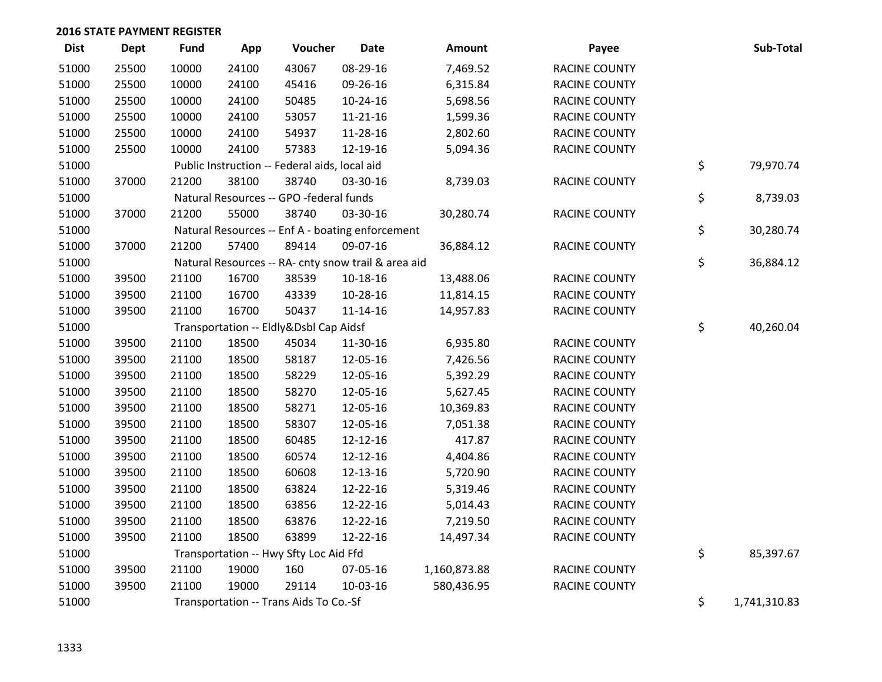| <b>Dist</b> | <b>Dept</b> | <b>Fund</b> | App   | Voucher                                             | <b>Date</b>    | Amount       | Payee                | Sub-Total          |
|-------------|-------------|-------------|-------|-----------------------------------------------------|----------------|--------------|----------------------|--------------------|
| 51000       | 25500       | 10000       | 24100 | 43067                                               | 08-29-16       | 7,469.52     | <b>RACINE COUNTY</b> |                    |
| 51000       | 25500       | 10000       | 24100 | 45416                                               | 09-26-16       | 6,315.84     | <b>RACINE COUNTY</b> |                    |
| 51000       | 25500       | 10000       | 24100 | 50485                                               | 10-24-16       | 5,698.56     | RACINE COUNTY        |                    |
| 51000       | 25500       | 10000       | 24100 | 53057                                               | $11 - 21 - 16$ | 1,599.36     | RACINE COUNTY        |                    |
| 51000       | 25500       | 10000       | 24100 | 54937                                               | 11-28-16       | 2,802.60     | <b>RACINE COUNTY</b> |                    |
| 51000       | 25500       | 10000       | 24100 | 57383                                               | 12-19-16       | 5,094.36     | RACINE COUNTY        |                    |
| 51000       |             |             |       | Public Instruction -- Federal aids, local aid       |                |              |                      | \$<br>79,970.74    |
| 51000       | 37000       | 21200       | 38100 | 38740                                               | 03-30-16       | 8,739.03     | RACINE COUNTY        |                    |
| 51000       |             |             |       | Natural Resources -- GPO -federal funds             |                |              |                      | \$<br>8,739.03     |
| 51000       | 37000       | 21200       | 55000 | 38740                                               | 03-30-16       | 30,280.74    | <b>RACINE COUNTY</b> |                    |
| 51000       |             |             |       | Natural Resources -- Enf A - boating enforcement    |                |              |                      | \$<br>30,280.74    |
| 51000       | 37000       | 21200       | 57400 | 89414                                               | 09-07-16       | 36,884.12    | RACINE COUNTY        |                    |
| 51000       |             |             |       | Natural Resources -- RA- cnty snow trail & area aid |                |              |                      | \$<br>36,884.12    |
| 51000       | 39500       | 21100       | 16700 | 38539                                               | 10-18-16       | 13,488.06    | <b>RACINE COUNTY</b> |                    |
| 51000       | 39500       | 21100       | 16700 | 43339                                               | 10-28-16       | 11,814.15    | RACINE COUNTY        |                    |
| 51000       | 39500       | 21100       | 16700 | 50437                                               | $11 - 14 - 16$ | 14,957.83    | <b>RACINE COUNTY</b> |                    |
| 51000       |             |             |       | Transportation -- Eldly&Dsbl Cap Aidsf              |                |              |                      | \$<br>40,260.04    |
| 51000       | 39500       | 21100       | 18500 | 45034                                               | 11-30-16       | 6,935.80     | RACINE COUNTY        |                    |
| 51000       | 39500       | 21100       | 18500 | 58187                                               | 12-05-16       | 7,426.56     | <b>RACINE COUNTY</b> |                    |
| 51000       | 39500       | 21100       | 18500 | 58229                                               | 12-05-16       | 5,392.29     | <b>RACINE COUNTY</b> |                    |
| 51000       | 39500       | 21100       | 18500 | 58270                                               | 12-05-16       | 5,627.45     | RACINE COUNTY        |                    |
| 51000       | 39500       | 21100       | 18500 | 58271                                               | 12-05-16       | 10,369.83    | <b>RACINE COUNTY</b> |                    |
| 51000       | 39500       | 21100       | 18500 | 58307                                               | 12-05-16       | 7,051.38     | RACINE COUNTY        |                    |
| 51000       | 39500       | 21100       | 18500 | 60485                                               | 12-12-16       | 417.87       | <b>RACINE COUNTY</b> |                    |
| 51000       | 39500       | 21100       | 18500 | 60574                                               | 12-12-16       | 4,404.86     | <b>RACINE COUNTY</b> |                    |
| 51000       | 39500       | 21100       | 18500 | 60608                                               | 12-13-16       | 5,720.90     | <b>RACINE COUNTY</b> |                    |
| 51000       | 39500       | 21100       | 18500 | 63824                                               | 12-22-16       | 5,319.46     | RACINE COUNTY        |                    |
| 51000       | 39500       | 21100       | 18500 | 63856                                               | 12-22-16       | 5,014.43     | RACINE COUNTY        |                    |
| 51000       | 39500       | 21100       | 18500 | 63876                                               | 12-22-16       | 7,219.50     | RACINE COUNTY        |                    |
| 51000       | 39500       | 21100       | 18500 | 63899                                               | 12-22-16       | 14,497.34    | <b>RACINE COUNTY</b> |                    |
| 51000       |             |             |       | Transportation -- Hwy Sfty Loc Aid Ffd              |                |              |                      | \$<br>85,397.67    |
| 51000       | 39500       | 21100       | 19000 | 160                                                 | 07-05-16       | 1,160,873.88 | <b>RACINE COUNTY</b> |                    |
| 51000       | 39500       | 21100       | 19000 | 29114                                               | 10-03-16       | 580,436.95   | <b>RACINE COUNTY</b> |                    |
| 51000       |             |             |       | Transportation -- Trans Aids To Co.-Sf              |                |              |                      | \$<br>1,741,310.83 |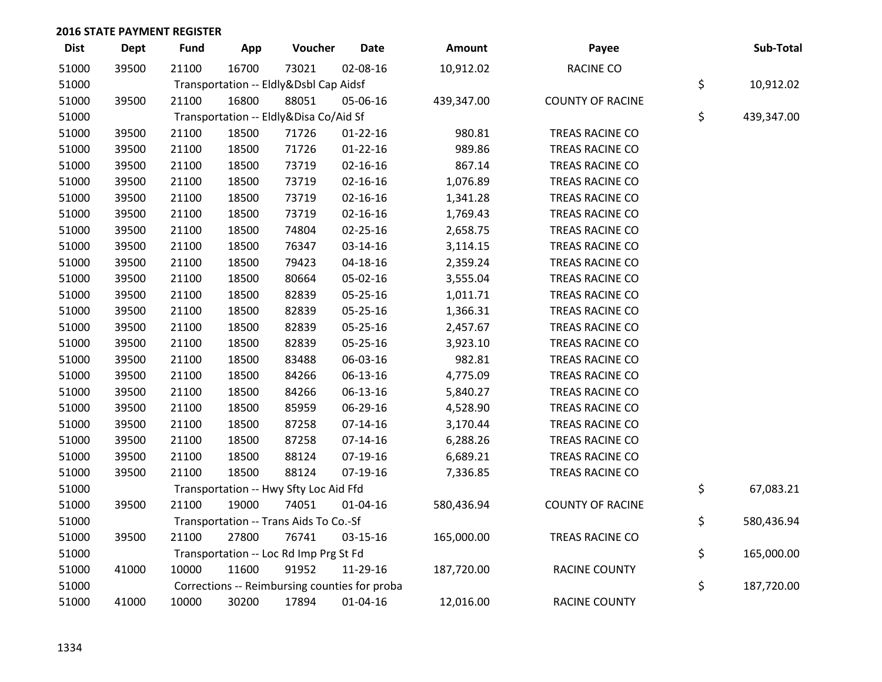| <b>Dist</b> | <b>Dept</b> | <b>Fund</b> | App   | Voucher                                       | <b>Date</b>    | Amount     | Payee                   | Sub-Total        |
|-------------|-------------|-------------|-------|-----------------------------------------------|----------------|------------|-------------------------|------------------|
| 51000       | 39500       | 21100       | 16700 | 73021                                         | 02-08-16       | 10,912.02  | <b>RACINE CO</b>        |                  |
| 51000       |             |             |       | Transportation -- Eldly&Dsbl Cap Aidsf        |                |            |                         | \$<br>10,912.02  |
| 51000       | 39500       | 21100       | 16800 | 88051                                         | 05-06-16       | 439,347.00 | <b>COUNTY OF RACINE</b> |                  |
| 51000       |             |             |       | Transportation -- Eldly&Disa Co/Aid Sf        |                |            |                         | \$<br>439,347.00 |
| 51000       | 39500       | 21100       | 18500 | 71726                                         | $01 - 22 - 16$ | 980.81     | TREAS RACINE CO         |                  |
| 51000       | 39500       | 21100       | 18500 | 71726                                         | $01 - 22 - 16$ | 989.86     | TREAS RACINE CO         |                  |
| 51000       | 39500       | 21100       | 18500 | 73719                                         | $02 - 16 - 16$ | 867.14     | TREAS RACINE CO         |                  |
| 51000       | 39500       | 21100       | 18500 | 73719                                         | $02 - 16 - 16$ | 1,076.89   | TREAS RACINE CO         |                  |
| 51000       | 39500       | 21100       | 18500 | 73719                                         | 02-16-16       | 1,341.28   | TREAS RACINE CO         |                  |
| 51000       | 39500       | 21100       | 18500 | 73719                                         | $02 - 16 - 16$ | 1,769.43   | TREAS RACINE CO         |                  |
| 51000       | 39500       | 21100       | 18500 | 74804                                         | $02 - 25 - 16$ | 2,658.75   | TREAS RACINE CO         |                  |
| 51000       | 39500       | 21100       | 18500 | 76347                                         | 03-14-16       | 3,114.15   | TREAS RACINE CO         |                  |
| 51000       | 39500       | 21100       | 18500 | 79423                                         | 04-18-16       | 2,359.24   | TREAS RACINE CO         |                  |
| 51000       | 39500       | 21100       | 18500 | 80664                                         | 05-02-16       | 3,555.04   | TREAS RACINE CO         |                  |
| 51000       | 39500       | 21100       | 18500 | 82839                                         | 05-25-16       | 1,011.71   | TREAS RACINE CO         |                  |
| 51000       | 39500       | 21100       | 18500 | 82839                                         | 05-25-16       | 1,366.31   | TREAS RACINE CO         |                  |
| 51000       | 39500       | 21100       | 18500 | 82839                                         | 05-25-16       | 2,457.67   | TREAS RACINE CO         |                  |
| 51000       | 39500       | 21100       | 18500 | 82839                                         | 05-25-16       | 3,923.10   | TREAS RACINE CO         |                  |
| 51000       | 39500       | 21100       | 18500 | 83488                                         | 06-03-16       | 982.81     | TREAS RACINE CO         |                  |
| 51000       | 39500       | 21100       | 18500 | 84266                                         | 06-13-16       | 4,775.09   | TREAS RACINE CO         |                  |
| 51000       | 39500       | 21100       | 18500 | 84266                                         | 06-13-16       | 5,840.27   | TREAS RACINE CO         |                  |
| 51000       | 39500       | 21100       | 18500 | 85959                                         | 06-29-16       | 4,528.90   | TREAS RACINE CO         |                  |
| 51000       | 39500       | 21100       | 18500 | 87258                                         | $07-14-16$     | 3,170.44   | TREAS RACINE CO         |                  |
| 51000       | 39500       | 21100       | 18500 | 87258                                         | $07-14-16$     | 6,288.26   | TREAS RACINE CO         |                  |
| 51000       | 39500       | 21100       | 18500 | 88124                                         | 07-19-16       | 6,689.21   | TREAS RACINE CO         |                  |
| 51000       | 39500       | 21100       | 18500 | 88124                                         | 07-19-16       | 7,336.85   | TREAS RACINE CO         |                  |
| 51000       |             |             |       | Transportation -- Hwy Sfty Loc Aid Ffd        |                |            |                         | \$<br>67,083.21  |
| 51000       | 39500       | 21100       | 19000 | 74051                                         | 01-04-16       | 580,436.94 | <b>COUNTY OF RACINE</b> |                  |
| 51000       |             |             |       | Transportation -- Trans Aids To Co.-Sf        |                |            |                         | \$<br>580,436.94 |
| 51000       | 39500       | 21100       | 27800 | 76741                                         | 03-15-16       | 165,000.00 | TREAS RACINE CO         |                  |
| 51000       |             |             |       | Transportation -- Loc Rd Imp Prg St Fd        |                |            |                         | \$<br>165,000.00 |
| 51000       | 41000       | 10000       | 11600 | 91952                                         | 11-29-16       | 187,720.00 | RACINE COUNTY           |                  |
| 51000       |             |             |       | Corrections -- Reimbursing counties for proba |                |            |                         | \$<br>187,720.00 |
| 51000       | 41000       | 10000       | 30200 | 17894                                         | 01-04-16       | 12,016.00  | <b>RACINE COUNTY</b>    |                  |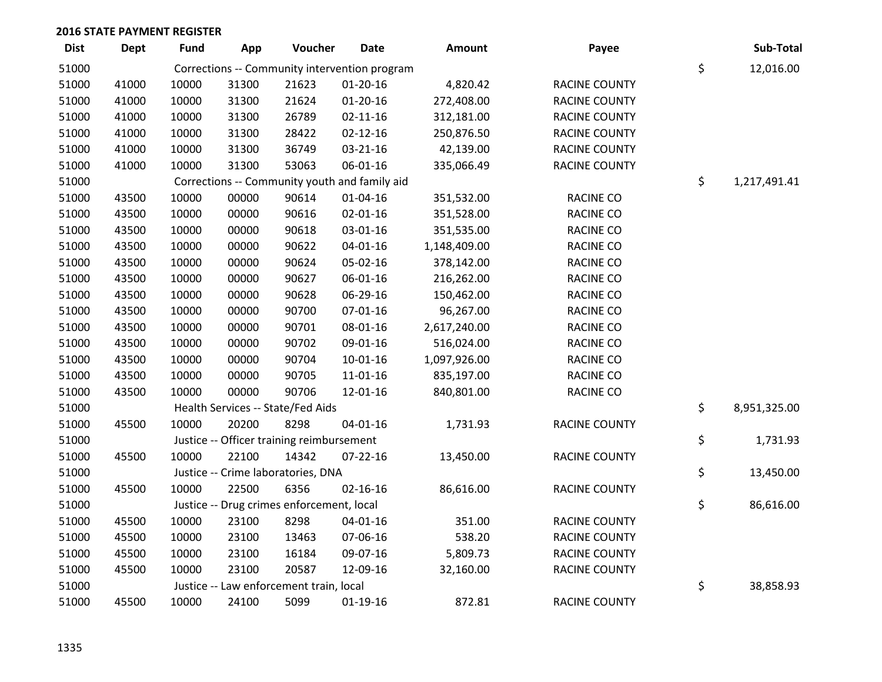| <b>Dist</b> | <b>Dept</b> | <b>Fund</b> | App   | Voucher                                   | <b>Date</b>                                   | Amount       | Payee                | Sub-Total          |
|-------------|-------------|-------------|-------|-------------------------------------------|-----------------------------------------------|--------------|----------------------|--------------------|
| 51000       |             |             |       |                                           | Corrections -- Community intervention program |              |                      | \$<br>12,016.00    |
| 51000       | 41000       | 10000       | 31300 | 21623                                     | $01-20-16$                                    | 4,820.42     | RACINE COUNTY        |                    |
| 51000       | 41000       | 10000       | 31300 | 21624                                     | $01-20-16$                                    | 272,408.00   | <b>RACINE COUNTY</b> |                    |
| 51000       | 41000       | 10000       | 31300 | 26789                                     | $02 - 11 - 16$                                | 312,181.00   | <b>RACINE COUNTY</b> |                    |
| 51000       | 41000       | 10000       | 31300 | 28422                                     | $02 - 12 - 16$                                | 250,876.50   | <b>RACINE COUNTY</b> |                    |
| 51000       | 41000       | 10000       | 31300 | 36749                                     | 03-21-16                                      | 42,139.00    | RACINE COUNTY        |                    |
| 51000       | 41000       | 10000       | 31300 | 53063                                     | 06-01-16                                      | 335,066.49   | RACINE COUNTY        |                    |
| 51000       |             |             |       |                                           | Corrections -- Community youth and family aid |              |                      | \$<br>1,217,491.41 |
| 51000       | 43500       | 10000       | 00000 | 90614                                     | 01-04-16                                      | 351,532.00   | RACINE CO            |                    |
| 51000       | 43500       | 10000       | 00000 | 90616                                     | 02-01-16                                      | 351,528.00   | <b>RACINE CO</b>     |                    |
| 51000       | 43500       | 10000       | 00000 | 90618                                     | 03-01-16                                      | 351,535.00   | RACINE CO            |                    |
| 51000       | 43500       | 10000       | 00000 | 90622                                     | $04 - 01 - 16$                                | 1,148,409.00 | <b>RACINE CO</b>     |                    |
| 51000       | 43500       | 10000       | 00000 | 90624                                     | 05-02-16                                      | 378,142.00   | RACINE CO            |                    |
| 51000       | 43500       | 10000       | 00000 | 90627                                     | 06-01-16                                      | 216,262.00   | RACINE CO            |                    |
| 51000       | 43500       | 10000       | 00000 | 90628                                     | 06-29-16                                      | 150,462.00   | RACINE CO            |                    |
| 51000       | 43500       | 10000       | 00000 | 90700                                     | 07-01-16                                      | 96,267.00    | <b>RACINE CO</b>     |                    |
| 51000       | 43500       | 10000       | 00000 | 90701                                     | 08-01-16                                      | 2,617,240.00 | RACINE CO            |                    |
| 51000       | 43500       | 10000       | 00000 | 90702                                     | 09-01-16                                      | 516,024.00   | <b>RACINE CO</b>     |                    |
| 51000       | 43500       | 10000       | 00000 | 90704                                     | $10 - 01 - 16$                                | 1,097,926.00 | RACINE CO            |                    |
| 51000       | 43500       | 10000       | 00000 | 90705                                     | $11 - 01 - 16$                                | 835,197.00   | RACINE CO            |                    |
| 51000       | 43500       | 10000       | 00000 | 90706                                     | 12-01-16                                      | 840,801.00   | RACINE CO            |                    |
| 51000       |             |             |       | Health Services -- State/Fed Aids         |                                               |              |                      | \$<br>8,951,325.00 |
| 51000       | 45500       | 10000       | 20200 | 8298                                      | $04 - 01 - 16$                                | 1,731.93     | <b>RACINE COUNTY</b> |                    |
| 51000       |             |             |       | Justice -- Officer training reimbursement |                                               |              |                      | \$<br>1,731.93     |
| 51000       | 45500       | 10000       | 22100 | 14342                                     | $07 - 22 - 16$                                | 13,450.00    | RACINE COUNTY        |                    |
| 51000       |             |             |       | Justice -- Crime laboratories, DNA        |                                               |              |                      | \$<br>13,450.00    |
| 51000       | 45500       | 10000       | 22500 | 6356                                      | $02 - 16 - 16$                                | 86,616.00    | RACINE COUNTY        |                    |
| 51000       |             |             |       | Justice -- Drug crimes enforcement, local |                                               |              |                      | \$<br>86,616.00    |
| 51000       | 45500       | 10000       | 23100 | 8298                                      | 04-01-16                                      | 351.00       | RACINE COUNTY        |                    |
| 51000       | 45500       | 10000       | 23100 | 13463                                     | 07-06-16                                      | 538.20       | RACINE COUNTY        |                    |
| 51000       | 45500       | 10000       | 23100 | 16184                                     | 09-07-16                                      | 5,809.73     | RACINE COUNTY        |                    |
| 51000       | 45500       | 10000       | 23100 | 20587                                     | 12-09-16                                      | 32,160.00    | <b>RACINE COUNTY</b> |                    |
| 51000       |             |             |       | Justice -- Law enforcement train, local   |                                               |              |                      | \$<br>38,858.93    |
| 51000       | 45500       | 10000       | 24100 | 5099                                      | $01-19-16$                                    | 872.81       | <b>RACINE COUNTY</b> |                    |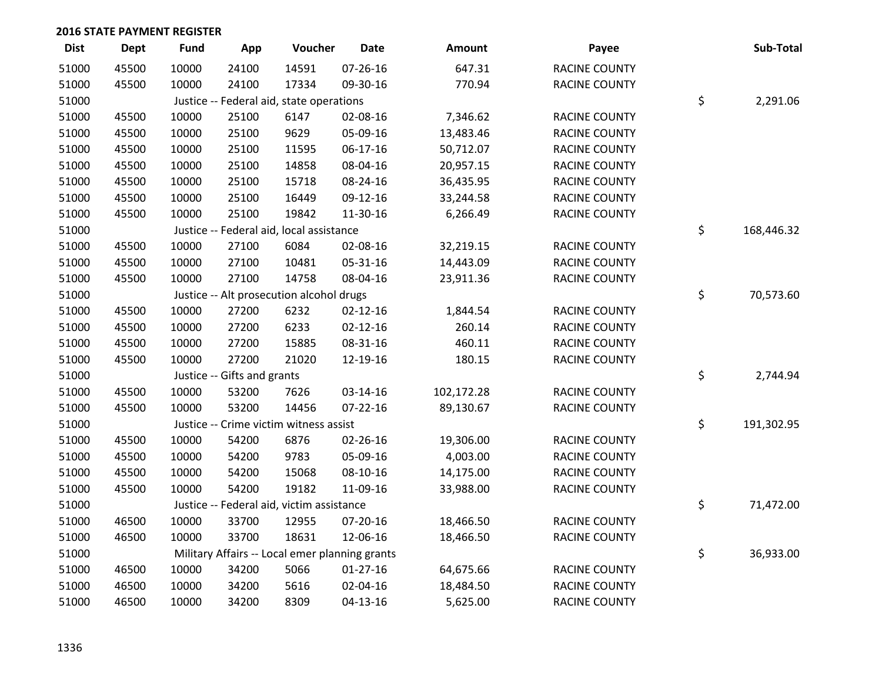| <b>Dist</b> | Dept  | <b>Fund</b> | App                         | Voucher                                        | <b>Date</b>    | Amount     | Payee                | Sub-Total        |
|-------------|-------|-------------|-----------------------------|------------------------------------------------|----------------|------------|----------------------|------------------|
| 51000       | 45500 | 10000       | 24100                       | 14591                                          | 07-26-16       | 647.31     | RACINE COUNTY        |                  |
| 51000       | 45500 | 10000       | 24100                       | 17334                                          | 09-30-16       | 770.94     | RACINE COUNTY        |                  |
| 51000       |       |             |                             | Justice -- Federal aid, state operations       |                |            |                      | \$<br>2,291.06   |
| 51000       | 45500 | 10000       | 25100                       | 6147                                           | 02-08-16       | 7,346.62   | <b>RACINE COUNTY</b> |                  |
| 51000       | 45500 | 10000       | 25100                       | 9629                                           | 05-09-16       | 13,483.46  | <b>RACINE COUNTY</b> |                  |
| 51000       | 45500 | 10000       | 25100                       | 11595                                          | 06-17-16       | 50,712.07  | <b>RACINE COUNTY</b> |                  |
| 51000       | 45500 | 10000       | 25100                       | 14858                                          | 08-04-16       | 20,957.15  | RACINE COUNTY        |                  |
| 51000       | 45500 | 10000       | 25100                       | 15718                                          | 08-24-16       | 36,435.95  | RACINE COUNTY        |                  |
| 51000       | 45500 | 10000       | 25100                       | 16449                                          | 09-12-16       | 33,244.58  | RACINE COUNTY        |                  |
| 51000       | 45500 | 10000       | 25100                       | 19842                                          | 11-30-16       | 6,266.49   | RACINE COUNTY        |                  |
| 51000       |       |             |                             | Justice -- Federal aid, local assistance       |                |            |                      | \$<br>168,446.32 |
| 51000       | 45500 | 10000       | 27100                       | 6084                                           | 02-08-16       | 32,219.15  | RACINE COUNTY        |                  |
| 51000       | 45500 | 10000       | 27100                       | 10481                                          | 05-31-16       | 14,443.09  | <b>RACINE COUNTY</b> |                  |
| 51000       | 45500 | 10000       | 27100                       | 14758                                          | 08-04-16       | 23,911.36  | <b>RACINE COUNTY</b> |                  |
| 51000       |       |             |                             | Justice -- Alt prosecution alcohol drugs       |                |            |                      | \$<br>70,573.60  |
| 51000       | 45500 | 10000       | 27200                       | 6232                                           | $02 - 12 - 16$ | 1,844.54   | <b>RACINE COUNTY</b> |                  |
| 51000       | 45500 | 10000       | 27200                       | 6233                                           | $02 - 12 - 16$ | 260.14     | RACINE COUNTY        |                  |
| 51000       | 45500 | 10000       | 27200                       | 15885                                          | 08-31-16       | 460.11     | RACINE COUNTY        |                  |
| 51000       | 45500 | 10000       | 27200                       | 21020                                          | 12-19-16       | 180.15     | RACINE COUNTY        |                  |
| 51000       |       |             | Justice -- Gifts and grants |                                                |                |            |                      | \$<br>2,744.94   |
| 51000       | 45500 | 10000       | 53200                       | 7626                                           | 03-14-16       | 102,172.28 | RACINE COUNTY        |                  |
| 51000       | 45500 | 10000       | 53200                       | 14456                                          | $07 - 22 - 16$ | 89,130.67  | RACINE COUNTY        |                  |
| 51000       |       |             |                             | Justice -- Crime victim witness assist         |                |            |                      | \$<br>191,302.95 |
| 51000       | 45500 | 10000       | 54200                       | 6876                                           | $02 - 26 - 16$ | 19,306.00  | <b>RACINE COUNTY</b> |                  |
| 51000       | 45500 | 10000       | 54200                       | 9783                                           | 05-09-16       | 4,003.00   | <b>RACINE COUNTY</b> |                  |
| 51000       | 45500 | 10000       | 54200                       | 15068                                          | 08-10-16       | 14,175.00  | RACINE COUNTY        |                  |
| 51000       | 45500 | 10000       | 54200                       | 19182                                          | 11-09-16       | 33,988.00  | RACINE COUNTY        |                  |
| 51000       |       |             |                             | Justice -- Federal aid, victim assistance      |                |            |                      | \$<br>71,472.00  |
| 51000       | 46500 | 10000       | 33700                       | 12955                                          | 07-20-16       | 18,466.50  | RACINE COUNTY        |                  |
| 51000       | 46500 | 10000       | 33700                       | 18631                                          | 12-06-16       | 18,466.50  | RACINE COUNTY        |                  |
| 51000       |       |             |                             | Military Affairs -- Local emer planning grants |                |            |                      | \$<br>36,933.00  |
| 51000       | 46500 | 10000       | 34200                       | 5066                                           | $01-27-16$     | 64,675.66  | RACINE COUNTY        |                  |
| 51000       | 46500 | 10000       | 34200                       | 5616                                           | 02-04-16       | 18,484.50  | RACINE COUNTY        |                  |
| 51000       | 46500 | 10000       | 34200                       | 8309                                           | 04-13-16       | 5,625.00   | <b>RACINE COUNTY</b> |                  |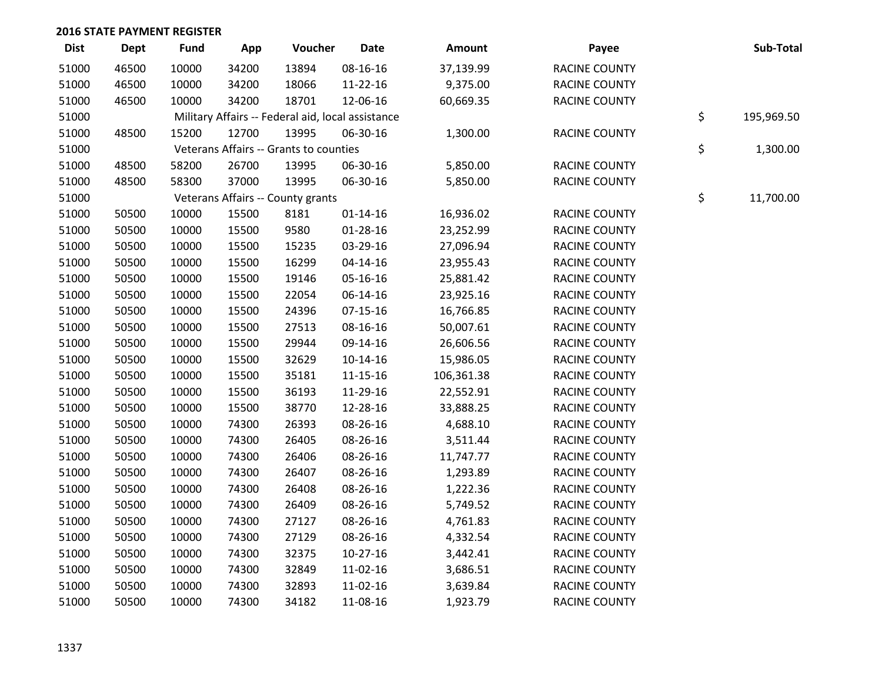| <b>Dist</b> | Dept  | <b>Fund</b> | App   | Voucher                                           | <b>Date</b>    | Amount     | Payee                | Sub-Total        |
|-------------|-------|-------------|-------|---------------------------------------------------|----------------|------------|----------------------|------------------|
| 51000       | 46500 | 10000       | 34200 | 13894                                             | 08-16-16       | 37,139.99  | <b>RACINE COUNTY</b> |                  |
| 51000       | 46500 | 10000       | 34200 | 18066                                             | 11-22-16       | 9,375.00   | <b>RACINE COUNTY</b> |                  |
| 51000       | 46500 | 10000       | 34200 | 18701                                             | 12-06-16       | 60,669.35  | <b>RACINE COUNTY</b> |                  |
| 51000       |       |             |       | Military Affairs -- Federal aid, local assistance |                |            |                      | \$<br>195,969.50 |
| 51000       | 48500 | 15200       | 12700 | 13995                                             | 06-30-16       | 1,300.00   | <b>RACINE COUNTY</b> |                  |
| 51000       |       |             |       | Veterans Affairs -- Grants to counties            |                |            |                      | \$<br>1,300.00   |
| 51000       | 48500 | 58200       | 26700 | 13995                                             | 06-30-16       | 5,850.00   | <b>RACINE COUNTY</b> |                  |
| 51000       | 48500 | 58300       | 37000 | 13995                                             | 06-30-16       | 5,850.00   | RACINE COUNTY        |                  |
| 51000       |       |             |       | Veterans Affairs -- County grants                 |                |            |                      | \$<br>11,700.00  |
| 51000       | 50500 | 10000       | 15500 | 8181                                              | $01 - 14 - 16$ | 16,936.02  | <b>RACINE COUNTY</b> |                  |
| 51000       | 50500 | 10000       | 15500 | 9580                                              | 01-28-16       | 23,252.99  | <b>RACINE COUNTY</b> |                  |
| 51000       | 50500 | 10000       | 15500 | 15235                                             | 03-29-16       | 27,096.94  | <b>RACINE COUNTY</b> |                  |
| 51000       | 50500 | 10000       | 15500 | 16299                                             | $04 - 14 - 16$ | 23,955.43  | <b>RACINE COUNTY</b> |                  |
| 51000       | 50500 | 10000       | 15500 | 19146                                             | 05-16-16       | 25,881.42  | RACINE COUNTY        |                  |
| 51000       | 50500 | 10000       | 15500 | 22054                                             | 06-14-16       | 23,925.16  | RACINE COUNTY        |                  |
| 51000       | 50500 | 10000       | 15500 | 24396                                             | 07-15-16       | 16,766.85  | RACINE COUNTY        |                  |
| 51000       | 50500 | 10000       | 15500 | 27513                                             | 08-16-16       | 50,007.61  | <b>RACINE COUNTY</b> |                  |
| 51000       | 50500 | 10000       | 15500 | 29944                                             | 09-14-16       | 26,606.56  | <b>RACINE COUNTY</b> |                  |
| 51000       | 50500 | 10000       | 15500 | 32629                                             | $10-14-16$     | 15,986.05  | <b>RACINE COUNTY</b> |                  |
| 51000       | 50500 | 10000       | 15500 | 35181                                             | $11 - 15 - 16$ | 106,361.38 | RACINE COUNTY        |                  |
| 51000       | 50500 | 10000       | 15500 | 36193                                             | 11-29-16       | 22,552.91  | <b>RACINE COUNTY</b> |                  |
| 51000       | 50500 | 10000       | 15500 | 38770                                             | 12-28-16       | 33,888.25  | <b>RACINE COUNTY</b> |                  |
| 51000       | 50500 | 10000       | 74300 | 26393                                             | 08-26-16       | 4,688.10   | RACINE COUNTY        |                  |
| 51000       | 50500 | 10000       | 74300 | 26405                                             | 08-26-16       | 3,511.44   | RACINE COUNTY        |                  |
| 51000       | 50500 | 10000       | 74300 | 26406                                             | 08-26-16       | 11,747.77  | RACINE COUNTY        |                  |
| 51000       | 50500 | 10000       | 74300 | 26407                                             | 08-26-16       | 1,293.89   | RACINE COUNTY        |                  |
| 51000       | 50500 | 10000       | 74300 | 26408                                             | 08-26-16       | 1,222.36   | RACINE COUNTY        |                  |
| 51000       | 50500 | 10000       | 74300 | 26409                                             | 08-26-16       | 5,749.52   | RACINE COUNTY        |                  |
| 51000       | 50500 | 10000       | 74300 | 27127                                             | 08-26-16       | 4,761.83   | RACINE COUNTY        |                  |
| 51000       | 50500 | 10000       | 74300 | 27129                                             | 08-26-16       | 4,332.54   | RACINE COUNTY        |                  |
| 51000       | 50500 | 10000       | 74300 | 32375                                             | $10-27-16$     | 3,442.41   | <b>RACINE COUNTY</b> |                  |
| 51000       | 50500 | 10000       | 74300 | 32849                                             | 11-02-16       | 3,686.51   | <b>RACINE COUNTY</b> |                  |
| 51000       | 50500 | 10000       | 74300 | 32893                                             | 11-02-16       | 3,639.84   | <b>RACINE COUNTY</b> |                  |
| 51000       | 50500 | 10000       | 74300 | 34182                                             | 11-08-16       | 1,923.79   | <b>RACINE COUNTY</b> |                  |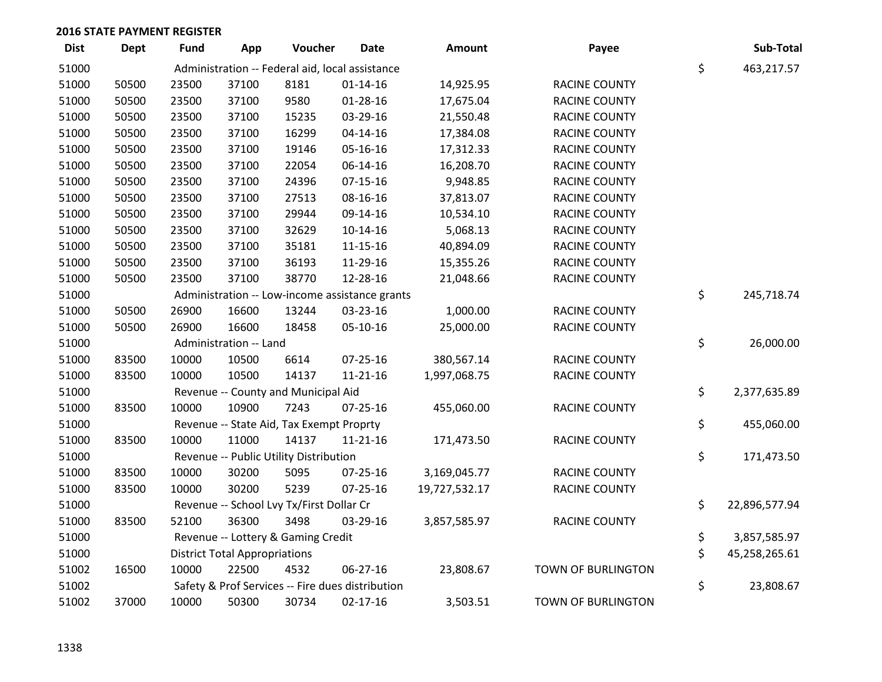| <b>Dist</b> | <b>Dept</b> | <b>Fund</b> | App                                  | Voucher                                          | <b>Date</b>    | Amount        | Payee                     | Sub-Total           |
|-------------|-------------|-------------|--------------------------------------|--------------------------------------------------|----------------|---------------|---------------------------|---------------------|
| 51000       |             |             |                                      | Administration -- Federal aid, local assistance  |                |               |                           | \$<br>463,217.57    |
| 51000       | 50500       | 23500       | 37100                                | 8181                                             | $01 - 14 - 16$ | 14,925.95     | RACINE COUNTY             |                     |
| 51000       | 50500       | 23500       | 37100                                | 9580                                             | $01 - 28 - 16$ | 17,675.04     | RACINE COUNTY             |                     |
| 51000       | 50500       | 23500       | 37100                                | 15235                                            | 03-29-16       | 21,550.48     | RACINE COUNTY             |                     |
| 51000       | 50500       | 23500       | 37100                                | 16299                                            | $04 - 14 - 16$ | 17,384.08     | RACINE COUNTY             |                     |
| 51000       | 50500       | 23500       | 37100                                | 19146                                            | 05-16-16       | 17,312.33     | RACINE COUNTY             |                     |
| 51000       | 50500       | 23500       | 37100                                | 22054                                            | 06-14-16       | 16,208.70     | <b>RACINE COUNTY</b>      |                     |
| 51000       | 50500       | 23500       | 37100                                | 24396                                            | $07 - 15 - 16$ | 9,948.85      | <b>RACINE COUNTY</b>      |                     |
| 51000       | 50500       | 23500       | 37100                                | 27513                                            | 08-16-16       | 37,813.07     | RACINE COUNTY             |                     |
| 51000       | 50500       | 23500       | 37100                                | 29944                                            | 09-14-16       | 10,534.10     | RACINE COUNTY             |                     |
| 51000       | 50500       | 23500       | 37100                                | 32629                                            | $10-14-16$     | 5,068.13      | RACINE COUNTY             |                     |
| 51000       | 50500       | 23500       | 37100                                | 35181                                            | $11 - 15 - 16$ | 40,894.09     | RACINE COUNTY             |                     |
| 51000       | 50500       | 23500       | 37100                                | 36193                                            | 11-29-16       | 15,355.26     | RACINE COUNTY             |                     |
| 51000       | 50500       | 23500       | 37100                                | 38770                                            | 12-28-16       | 21,048.66     | RACINE COUNTY             |                     |
| 51000       |             |             |                                      | Administration -- Low-income assistance grants   |                |               |                           | \$<br>245,718.74    |
| 51000       | 50500       | 26900       | 16600                                | 13244                                            | 03-23-16       | 1,000.00      | RACINE COUNTY             |                     |
| 51000       | 50500       | 26900       | 16600                                | 18458                                            | 05-10-16       | 25,000.00     | RACINE COUNTY             |                     |
| 51000       |             |             | Administration -- Land               |                                                  |                |               |                           | \$<br>26,000.00     |
| 51000       | 83500       | 10000       | 10500                                | 6614                                             | 07-25-16       | 380,567.14    | <b>RACINE COUNTY</b>      |                     |
| 51000       | 83500       | 10000       | 10500                                | 14137                                            | $11 - 21 - 16$ | 1,997,068.75  | RACINE COUNTY             |                     |
| 51000       |             |             |                                      | Revenue -- County and Municipal Aid              |                |               |                           | \$<br>2,377,635.89  |
| 51000       | 83500       | 10000       | 10900                                | 7243                                             | 07-25-16       | 455,060.00    | RACINE COUNTY             |                     |
| 51000       |             |             |                                      | Revenue -- State Aid, Tax Exempt Proprty         |                |               |                           | \$<br>455,060.00    |
| 51000       | 83500       | 10000       | 11000                                | 14137                                            | $11 - 21 - 16$ | 171,473.50    | <b>RACINE COUNTY</b>      |                     |
| 51000       |             |             |                                      | Revenue -- Public Utility Distribution           |                |               |                           | \$<br>171,473.50    |
| 51000       | 83500       | 10000       | 30200                                | 5095                                             | $07 - 25 - 16$ | 3,169,045.77  | <b>RACINE COUNTY</b>      |                     |
| 51000       | 83500       | 10000       | 30200                                | 5239                                             | 07-25-16       | 19,727,532.17 | RACINE COUNTY             |                     |
| 51000       |             |             |                                      | Revenue -- School Lvy Tx/First Dollar Cr         |                |               |                           | \$<br>22,896,577.94 |
| 51000       | 83500       | 52100       | 36300                                | 3498                                             | 03-29-16       | 3,857,585.97  | RACINE COUNTY             |                     |
| 51000       |             |             |                                      | Revenue -- Lottery & Gaming Credit               |                |               |                           | \$<br>3,857,585.97  |
| 51000       |             |             | <b>District Total Appropriations</b> |                                                  |                |               |                           | \$<br>45,258,265.61 |
| 51002       | 16500       | 10000       | 22500                                | 4532                                             | 06-27-16       | 23,808.67     | <b>TOWN OF BURLINGTON</b> |                     |
| 51002       |             |             |                                      | Safety & Prof Services -- Fire dues distribution |                |               |                           | \$<br>23,808.67     |
| 51002       | 37000       | 10000       | 50300                                | 30734                                            | 02-17-16       | 3,503.51      | TOWN OF BURLINGTON        |                     |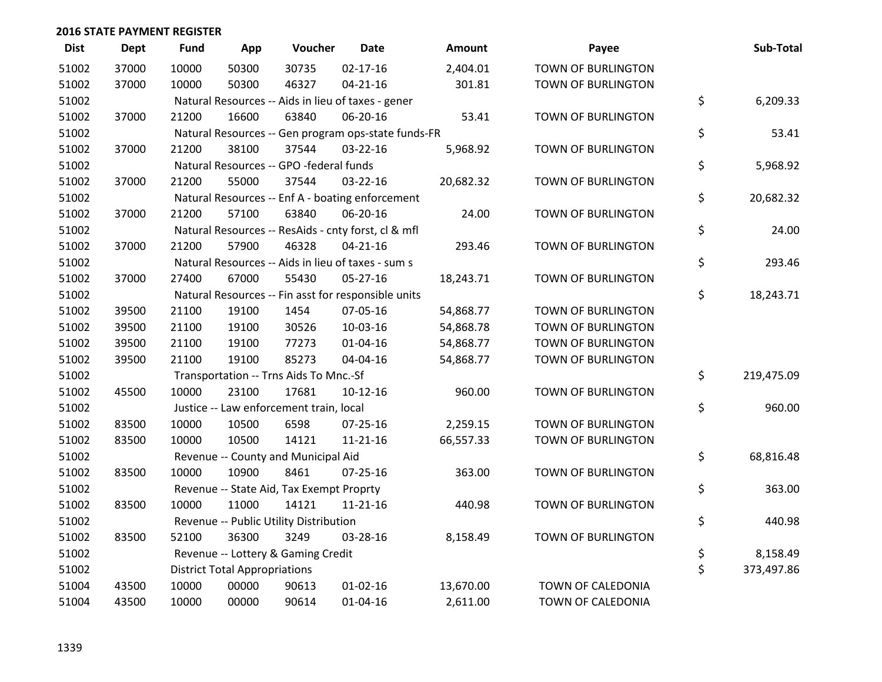| <b>Dist</b> | Dept  | <b>Fund</b> | App                                  | Voucher                                             | <b>Date</b>    | Amount    | Payee                     | Sub-Total        |
|-------------|-------|-------------|--------------------------------------|-----------------------------------------------------|----------------|-----------|---------------------------|------------------|
| 51002       | 37000 | 10000       | 50300                                | 30735                                               | $02 - 17 - 16$ | 2,404.01  | TOWN OF BURLINGTON        |                  |
| 51002       | 37000 | 10000       | 50300                                | 46327                                               | $04 - 21 - 16$ | 301.81    | TOWN OF BURLINGTON        |                  |
| 51002       |       |             |                                      | Natural Resources -- Aids in lieu of taxes - gener  |                |           |                           | \$<br>6,209.33   |
| 51002       | 37000 | 21200       | 16600                                | 63840                                               | 06-20-16       | 53.41     | <b>TOWN OF BURLINGTON</b> |                  |
| 51002       |       |             |                                      | Natural Resources -- Gen program ops-state funds-FR |                |           |                           | \$<br>53.41      |
| 51002       | 37000 | 21200       | 38100                                | 37544                                               | 03-22-16       | 5,968.92  | TOWN OF BURLINGTON        |                  |
| 51002       |       |             |                                      | Natural Resources -- GPO -federal funds             |                |           |                           | \$<br>5,968.92   |
| 51002       | 37000 | 21200       | 55000                                | 37544                                               | 03-22-16       | 20,682.32 | <b>TOWN OF BURLINGTON</b> |                  |
| 51002       |       |             |                                      | Natural Resources -- Enf A - boating enforcement    |                |           |                           | \$<br>20,682.32  |
| 51002       | 37000 | 21200       | 57100                                | 63840                                               | 06-20-16       | 24.00     | TOWN OF BURLINGTON        |                  |
| 51002       |       |             |                                      | Natural Resources -- ResAids - cnty forst, cl & mfl |                |           |                           | \$<br>24.00      |
| 51002       | 37000 | 21200       | 57900                                | 46328                                               | $04 - 21 - 16$ | 293.46    | TOWN OF BURLINGTON        |                  |
| 51002       |       |             |                                      | Natural Resources -- Aids in lieu of taxes - sum s  |                |           |                           | \$<br>293.46     |
| 51002       | 37000 | 27400       | 67000                                | 55430                                               | $05 - 27 - 16$ | 18,243.71 | TOWN OF BURLINGTON        |                  |
| 51002       |       |             |                                      | Natural Resources -- Fin asst for responsible units |                |           |                           | \$<br>18,243.71  |
| 51002       | 39500 | 21100       | 19100                                | 1454                                                | 07-05-16       | 54,868.77 | TOWN OF BURLINGTON        |                  |
| 51002       | 39500 | 21100       | 19100                                | 30526                                               | 10-03-16       | 54,868.78 | TOWN OF BURLINGTON        |                  |
| 51002       | 39500 | 21100       | 19100                                | 77273                                               | $01 - 04 - 16$ | 54,868.77 | TOWN OF BURLINGTON        |                  |
| 51002       | 39500 | 21100       | 19100                                | 85273                                               | 04-04-16       | 54,868.77 | TOWN OF BURLINGTON        |                  |
| 51002       |       |             |                                      | Transportation -- Trns Aids To Mnc.-Sf              |                |           |                           | \$<br>219,475.09 |
| 51002       | 45500 | 10000       | 23100                                | 17681                                               | $10-12-16$     | 960.00    | TOWN OF BURLINGTON        |                  |
| 51002       |       |             |                                      | Justice -- Law enforcement train, local             |                |           |                           | \$<br>960.00     |
| 51002       | 83500 | 10000       | 10500                                | 6598                                                | $07 - 25 - 16$ | 2,259.15  | <b>TOWN OF BURLINGTON</b> |                  |
| 51002       | 83500 | 10000       | 10500                                | 14121                                               | $11 - 21 - 16$ | 66,557.33 | TOWN OF BURLINGTON        |                  |
| 51002       |       |             |                                      | Revenue -- County and Municipal Aid                 |                |           |                           | \$<br>68,816.48  |
| 51002       | 83500 | 10000       | 10900                                | 8461                                                | $07 - 25 - 16$ | 363.00    | <b>TOWN OF BURLINGTON</b> |                  |
| 51002       |       |             |                                      | Revenue -- State Aid, Tax Exempt Proprty            |                |           |                           | \$<br>363.00     |
| 51002       | 83500 | 10000       | 11000                                | 14121                                               | $11 - 21 - 16$ | 440.98    | <b>TOWN OF BURLINGTON</b> |                  |
| 51002       |       |             |                                      | Revenue -- Public Utility Distribution              |                |           |                           | \$<br>440.98     |
| 51002       | 83500 | 52100       | 36300                                | 3249                                                | 03-28-16       | 8,158.49  | TOWN OF BURLINGTON        |                  |
| 51002       |       |             |                                      | Revenue -- Lottery & Gaming Credit                  |                |           |                           | \$<br>8,158.49   |
| 51002       |       |             | <b>District Total Appropriations</b> |                                                     |                |           |                           | \$<br>373,497.86 |
| 51004       | 43500 | 10000       | 00000                                | 90613                                               | $01 - 02 - 16$ | 13,670.00 | TOWN OF CALEDONIA         |                  |
| 51004       | 43500 | 10000       | 00000                                | 90614                                               | $01 - 04 - 16$ | 2,611.00  | TOWN OF CALEDONIA         |                  |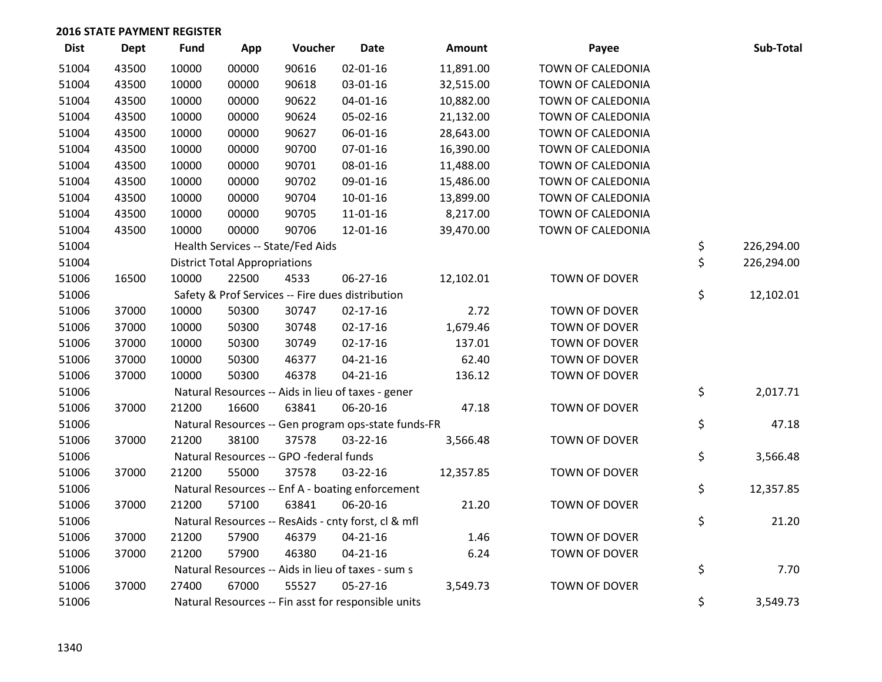| <b>Dist</b> | <b>Dept</b> | <b>Fund</b> | App                                  | Voucher                                             | <b>Date</b>    | Amount    | Payee                | Sub-Total        |
|-------------|-------------|-------------|--------------------------------------|-----------------------------------------------------|----------------|-----------|----------------------|------------------|
| 51004       | 43500       | 10000       | 00000                                | 90616                                               | $02 - 01 - 16$ | 11,891.00 | TOWN OF CALEDONIA    |                  |
| 51004       | 43500       | 10000       | 00000                                | 90618                                               | 03-01-16       | 32,515.00 | TOWN OF CALEDONIA    |                  |
| 51004       | 43500       | 10000       | 00000                                | 90622                                               | $04 - 01 - 16$ | 10,882.00 | TOWN OF CALEDONIA    |                  |
| 51004       | 43500       | 10000       | 00000                                | 90624                                               | 05-02-16       | 21,132.00 | TOWN OF CALEDONIA    |                  |
| 51004       | 43500       | 10000       | 00000                                | 90627                                               | 06-01-16       | 28,643.00 | TOWN OF CALEDONIA    |                  |
| 51004       | 43500       | 10000       | 00000                                | 90700                                               | 07-01-16       | 16,390.00 | TOWN OF CALEDONIA    |                  |
| 51004       | 43500       | 10000       | 00000                                | 90701                                               | 08-01-16       | 11,488.00 | TOWN OF CALEDONIA    |                  |
| 51004       | 43500       | 10000       | 00000                                | 90702                                               | 09-01-16       | 15,486.00 | TOWN OF CALEDONIA    |                  |
| 51004       | 43500       | 10000       | 00000                                | 90704                                               | $10 - 01 - 16$ | 13,899.00 | TOWN OF CALEDONIA    |                  |
| 51004       | 43500       | 10000       | 00000                                | 90705                                               | $11 - 01 - 16$ | 8,217.00  | TOWN OF CALEDONIA    |                  |
| 51004       | 43500       | 10000       | 00000                                | 90706                                               | 12-01-16       | 39,470.00 | TOWN OF CALEDONIA    |                  |
| 51004       |             |             |                                      | Health Services -- State/Fed Aids                   |                |           |                      | \$<br>226,294.00 |
| 51004       |             |             | <b>District Total Appropriations</b> |                                                     |                |           |                      | \$<br>226,294.00 |
| 51006       | 16500       | 10000       | 22500                                | 4533                                                | 06-27-16       | 12,102.01 | TOWN OF DOVER        |                  |
| 51006       |             |             |                                      | Safety & Prof Services -- Fire dues distribution    |                |           |                      | \$<br>12,102.01  |
| 51006       | 37000       | 10000       | 50300                                | 30747                                               | $02 - 17 - 16$ | 2.72      | TOWN OF DOVER        |                  |
| 51006       | 37000       | 10000       | 50300                                | 30748                                               | $02 - 17 - 16$ | 1,679.46  | TOWN OF DOVER        |                  |
| 51006       | 37000       | 10000       | 50300                                | 30749                                               | $02 - 17 - 16$ | 137.01    | <b>TOWN OF DOVER</b> |                  |
| 51006       | 37000       | 10000       | 50300                                | 46377                                               | $04 - 21 - 16$ | 62.40     | <b>TOWN OF DOVER</b> |                  |
| 51006       | 37000       | 10000       | 50300                                | 46378                                               | $04 - 21 - 16$ | 136.12    | TOWN OF DOVER        |                  |
| 51006       |             |             |                                      | Natural Resources -- Aids in lieu of taxes - gener  |                |           |                      | \$<br>2,017.71   |
| 51006       | 37000       | 21200       | 16600                                | 63841                                               | 06-20-16       | 47.18     | <b>TOWN OF DOVER</b> |                  |
| 51006       |             |             |                                      | Natural Resources -- Gen program ops-state funds-FR |                |           |                      | \$<br>47.18      |
| 51006       | 37000       | 21200       | 38100                                | 37578                                               | 03-22-16       | 3,566.48  | TOWN OF DOVER        |                  |
| 51006       |             |             |                                      | Natural Resources -- GPO -federal funds             |                |           |                      | \$<br>3,566.48   |
| 51006       | 37000       | 21200       | 55000                                | 37578                                               | 03-22-16       | 12,357.85 | TOWN OF DOVER        |                  |
| 51006       |             |             |                                      | Natural Resources -- Enf A - boating enforcement    |                |           |                      | \$<br>12,357.85  |
| 51006       | 37000       | 21200       | 57100                                | 63841                                               | 06-20-16       | 21.20     | TOWN OF DOVER        |                  |
| 51006       |             |             |                                      | Natural Resources -- ResAids - cnty forst, cl & mfl |                |           |                      | \$<br>21.20      |
| 51006       | 37000       | 21200       | 57900                                | 46379                                               | $04 - 21 - 16$ | 1.46      | <b>TOWN OF DOVER</b> |                  |
| 51006       | 37000       | 21200       | 57900                                | 46380                                               | $04 - 21 - 16$ | 6.24      | TOWN OF DOVER        |                  |
| 51006       |             |             |                                      | Natural Resources -- Aids in lieu of taxes - sum s  |                |           |                      | \$<br>7.70       |
| 51006       | 37000       | 27400       | 67000                                | 55527                                               | $05 - 27 - 16$ | 3,549.73  | TOWN OF DOVER        |                  |
| 51006       |             |             |                                      | Natural Resources -- Fin asst for responsible units |                |           |                      | \$<br>3,549.73   |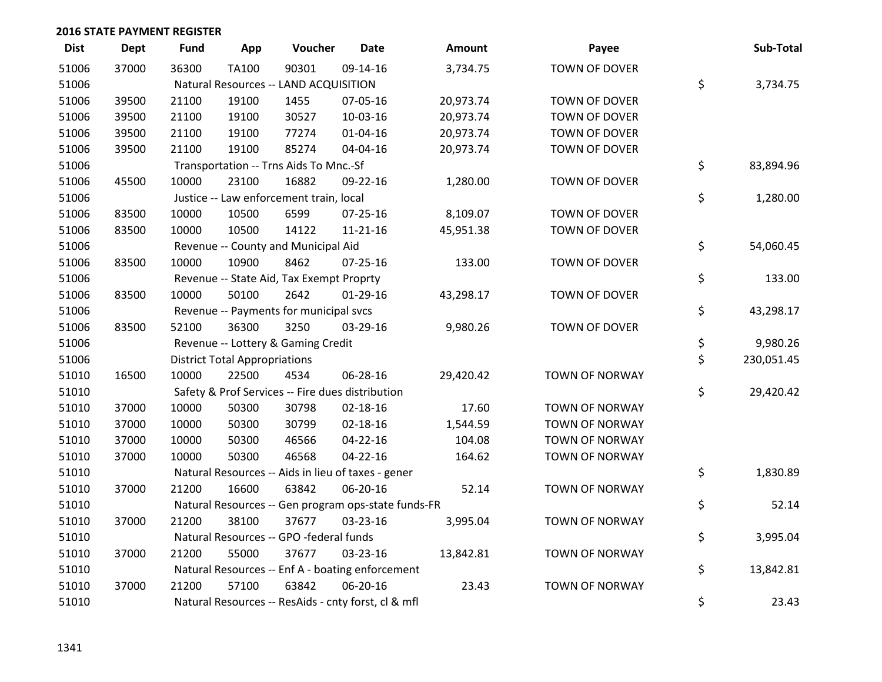| <b>Dist</b> | <b>Dept</b> | <b>Fund</b> | App                                  | Voucher                                  | <b>Date</b>                                         | <b>Amount</b> | Payee                 | Sub-Total        |
|-------------|-------------|-------------|--------------------------------------|------------------------------------------|-----------------------------------------------------|---------------|-----------------------|------------------|
| 51006       | 37000       | 36300       | <b>TA100</b>                         | 90301                                    | 09-14-16                                            | 3,734.75      | <b>TOWN OF DOVER</b>  |                  |
| 51006       |             |             |                                      | Natural Resources -- LAND ACQUISITION    |                                                     |               |                       | \$<br>3,734.75   |
| 51006       | 39500       | 21100       | 19100                                | 1455                                     | 07-05-16                                            | 20,973.74     | <b>TOWN OF DOVER</b>  |                  |
| 51006       | 39500       | 21100       | 19100                                | 30527                                    | 10-03-16                                            | 20,973.74     | <b>TOWN OF DOVER</b>  |                  |
| 51006       | 39500       | 21100       | 19100                                | 77274                                    | $01 - 04 - 16$                                      | 20,973.74     | TOWN OF DOVER         |                  |
| 51006       | 39500       | 21100       | 19100                                | 85274                                    | 04-04-16                                            | 20,973.74     | <b>TOWN OF DOVER</b>  |                  |
| 51006       |             |             |                                      | Transportation -- Trns Aids To Mnc.-Sf   |                                                     |               |                       | \$<br>83,894.96  |
| 51006       | 45500       | 10000       | 23100                                | 16882                                    | 09-22-16                                            | 1,280.00      | TOWN OF DOVER         |                  |
| 51006       |             |             |                                      | Justice -- Law enforcement train, local  |                                                     |               |                       | \$<br>1,280.00   |
| 51006       | 83500       | 10000       | 10500                                | 6599                                     | $07 - 25 - 16$                                      | 8,109.07      | <b>TOWN OF DOVER</b>  |                  |
| 51006       | 83500       | 10000       | 10500                                | 14122                                    | $11 - 21 - 16$                                      | 45,951.38     | TOWN OF DOVER         |                  |
| 51006       |             |             |                                      | Revenue -- County and Municipal Aid      |                                                     |               |                       | \$<br>54,060.45  |
| 51006       | 83500       | 10000       | 10900                                | 8462                                     | $07 - 25 - 16$                                      | 133.00        | TOWN OF DOVER         |                  |
| 51006       |             |             |                                      | Revenue -- State Aid, Tax Exempt Proprty |                                                     |               |                       | \$<br>133.00     |
| 51006       | 83500       | 10000       | 50100                                | 2642                                     | $01-29-16$                                          | 43,298.17     | TOWN OF DOVER         |                  |
| 51006       |             |             |                                      | Revenue -- Payments for municipal svcs   |                                                     |               |                       | \$<br>43,298.17  |
| 51006       | 83500       | 52100       | 36300                                | 3250                                     | 03-29-16                                            | 9,980.26      | TOWN OF DOVER         |                  |
| 51006       |             |             |                                      | Revenue -- Lottery & Gaming Credit       |                                                     |               |                       | \$<br>9,980.26   |
| 51006       |             |             | <b>District Total Appropriations</b> |                                          |                                                     |               |                       | \$<br>230,051.45 |
| 51010       | 16500       | 10000       | 22500                                | 4534                                     | 06-28-16                                            | 29,420.42     | <b>TOWN OF NORWAY</b> |                  |
| 51010       |             |             |                                      |                                          | Safety & Prof Services -- Fire dues distribution    |               |                       | \$<br>29,420.42  |
| 51010       | 37000       | 10000       | 50300                                | 30798                                    | $02 - 18 - 16$                                      | 17.60         | <b>TOWN OF NORWAY</b> |                  |
| 51010       | 37000       | 10000       | 50300                                | 30799                                    | 02-18-16                                            | 1,544.59      | <b>TOWN OF NORWAY</b> |                  |
| 51010       | 37000       | 10000       | 50300                                | 46566                                    | $04 - 22 - 16$                                      | 104.08        | <b>TOWN OF NORWAY</b> |                  |
| 51010       | 37000       | 10000       | 50300                                | 46568                                    | $04 - 22 - 16$                                      | 164.62        | TOWN OF NORWAY        |                  |
| 51010       |             |             |                                      |                                          | Natural Resources -- Aids in lieu of taxes - gener  |               |                       | \$<br>1,830.89   |
| 51010       | 37000       | 21200       | 16600                                | 63842                                    | 06-20-16                                            | 52.14         | <b>TOWN OF NORWAY</b> |                  |
| 51010       |             |             |                                      |                                          | Natural Resources -- Gen program ops-state funds-FR |               |                       | \$<br>52.14      |
| 51010       | 37000       | 21200       | 38100                                | 37677                                    | 03-23-16                                            | 3,995.04      | <b>TOWN OF NORWAY</b> |                  |
| 51010       |             |             |                                      | Natural Resources -- GPO -federal funds  |                                                     |               |                       | \$<br>3,995.04   |
| 51010       | 37000       | 21200       | 55000                                | 37677                                    | 03-23-16                                            | 13,842.81     | <b>TOWN OF NORWAY</b> |                  |
| 51010       |             |             |                                      |                                          | Natural Resources -- Enf A - boating enforcement    |               |                       | \$<br>13,842.81  |
| 51010       | 37000       | 21200       | 57100                                | 63842                                    | 06-20-16                                            | 23.43         | <b>TOWN OF NORWAY</b> |                  |
| 51010       |             |             |                                      |                                          | Natural Resources -- ResAids - cnty forst, cl & mfl |               |                       | \$<br>23.43      |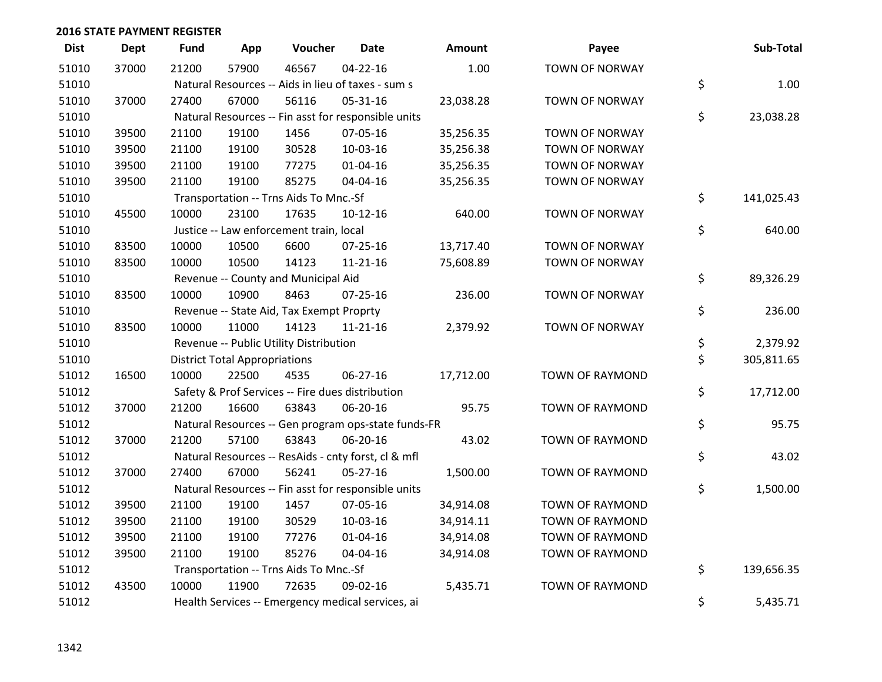| <b>Dist</b> | <b>Dept</b> | <b>Fund</b> | App                                  | Voucher                                             | <b>Date</b>    | <b>Amount</b> | Payee                  | Sub-Total        |
|-------------|-------------|-------------|--------------------------------------|-----------------------------------------------------|----------------|---------------|------------------------|------------------|
| 51010       | 37000       | 21200       | 57900                                | 46567                                               | $04 - 22 - 16$ | 1.00          | <b>TOWN OF NORWAY</b>  |                  |
| 51010       |             |             |                                      | Natural Resources -- Aids in lieu of taxes - sum s  |                |               |                        | \$<br>1.00       |
| 51010       | 37000       | 27400       | 67000                                | 56116                                               | 05-31-16       | 23,038.28     | <b>TOWN OF NORWAY</b>  |                  |
| 51010       |             |             |                                      | Natural Resources -- Fin asst for responsible units |                |               |                        | \$<br>23,038.28  |
| 51010       | 39500       | 21100       | 19100                                | 1456                                                | 07-05-16       | 35,256.35     | TOWN OF NORWAY         |                  |
| 51010       | 39500       | 21100       | 19100                                | 30528                                               | 10-03-16       | 35,256.38     | <b>TOWN OF NORWAY</b>  |                  |
| 51010       | 39500       | 21100       | 19100                                | 77275                                               | $01 - 04 - 16$ | 35,256.35     | <b>TOWN OF NORWAY</b>  |                  |
| 51010       | 39500       | 21100       | 19100                                | 85275                                               | 04-04-16       | 35,256.35     | <b>TOWN OF NORWAY</b>  |                  |
| 51010       |             |             |                                      | Transportation -- Trns Aids To Mnc.-Sf              |                |               |                        | \$<br>141,025.43 |
| 51010       | 45500       | 10000       | 23100                                | 17635                                               | $10-12-16$     | 640.00        | <b>TOWN OF NORWAY</b>  |                  |
| 51010       |             |             |                                      | Justice -- Law enforcement train, local             |                |               |                        | \$<br>640.00     |
| 51010       | 83500       | 10000       | 10500                                | 6600                                                | $07 - 25 - 16$ | 13,717.40     | <b>TOWN OF NORWAY</b>  |                  |
| 51010       | 83500       | 10000       | 10500                                | 14123                                               | $11 - 21 - 16$ | 75,608.89     | <b>TOWN OF NORWAY</b>  |                  |
| 51010       |             |             |                                      | Revenue -- County and Municipal Aid                 |                |               |                        | \$<br>89,326.29  |
| 51010       | 83500       | 10000       | 10900                                | 8463                                                | $07 - 25 - 16$ | 236.00        | <b>TOWN OF NORWAY</b>  |                  |
| 51010       |             |             |                                      | Revenue -- State Aid, Tax Exempt Proprty            |                |               |                        | \$<br>236.00     |
| 51010       | 83500       | 10000       | 11000                                | 14123                                               | $11 - 21 - 16$ | 2,379.92      | <b>TOWN OF NORWAY</b>  |                  |
| 51010       |             |             |                                      | Revenue -- Public Utility Distribution              |                |               |                        | \$<br>2,379.92   |
| 51010       |             |             | <b>District Total Appropriations</b> |                                                     |                |               |                        | \$<br>305,811.65 |
| 51012       | 16500       | 10000       | 22500                                | 4535                                                | 06-27-16       | 17,712.00     | TOWN OF RAYMOND        |                  |
| 51012       |             |             |                                      | Safety & Prof Services -- Fire dues distribution    |                |               |                        | \$<br>17,712.00  |
| 51012       | 37000       | 21200       | 16600                                | 63843                                               | 06-20-16       | 95.75         | TOWN OF RAYMOND        |                  |
| 51012       |             |             |                                      | Natural Resources -- Gen program ops-state funds-FR |                |               |                        | \$<br>95.75      |
| 51012       | 37000       | 21200       | 57100                                | 63843                                               | 06-20-16       | 43.02         | TOWN OF RAYMOND        |                  |
| 51012       |             |             |                                      | Natural Resources -- ResAids - cnty forst, cl & mfl |                |               |                        | \$<br>43.02      |
| 51012       | 37000       | 27400       | 67000                                | 56241                                               | $05 - 27 - 16$ | 1,500.00      | TOWN OF RAYMOND        |                  |
| 51012       |             |             |                                      | Natural Resources -- Fin asst for responsible units |                |               |                        | \$<br>1,500.00   |
| 51012       | 39500       | 21100       | 19100                                | 1457                                                | 07-05-16       | 34,914.08     | TOWN OF RAYMOND        |                  |
| 51012       | 39500       | 21100       | 19100                                | 30529                                               | 10-03-16       | 34,914.11     | <b>TOWN OF RAYMOND</b> |                  |
| 51012       | 39500       | 21100       | 19100                                | 77276                                               | $01 - 04 - 16$ | 34,914.08     | <b>TOWN OF RAYMOND</b> |                  |
| 51012       | 39500       | 21100       | 19100                                | 85276                                               | 04-04-16       | 34,914.08     | TOWN OF RAYMOND        |                  |
| 51012       |             |             |                                      | Transportation -- Trns Aids To Mnc.-Sf              |                |               |                        | \$<br>139,656.35 |
| 51012       | 43500       | 10000       | 11900                                | 72635                                               | 09-02-16       | 5,435.71      | <b>TOWN OF RAYMOND</b> |                  |
| 51012       |             |             |                                      | Health Services -- Emergency medical services, ai   |                |               |                        | \$<br>5,435.71   |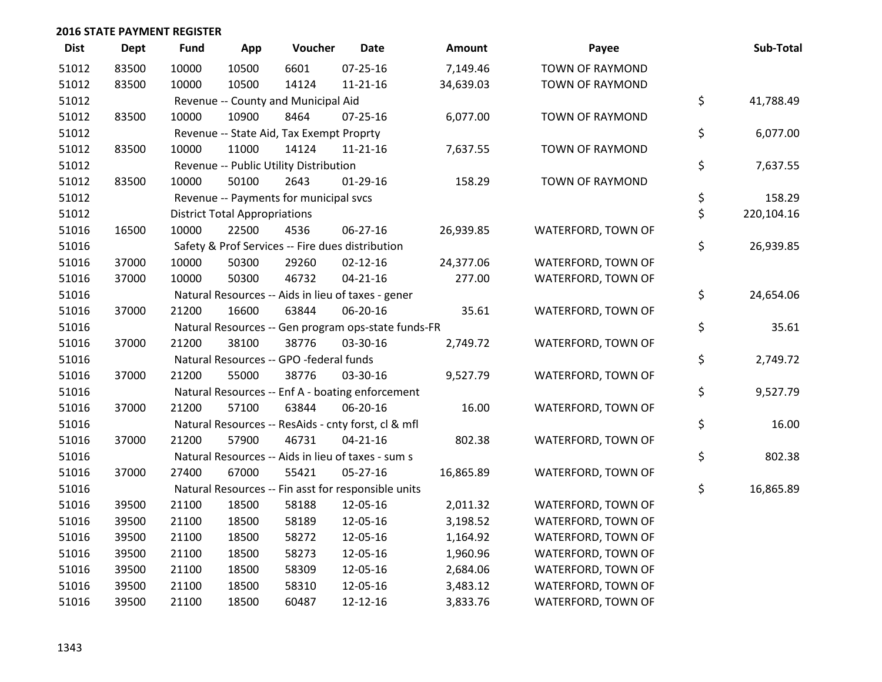| <b>Dist</b> | Dept  | <b>Fund</b> | App                                  | Voucher                                             | <b>Date</b>    | Amount    | Payee                  | Sub-Total        |
|-------------|-------|-------------|--------------------------------------|-----------------------------------------------------|----------------|-----------|------------------------|------------------|
| 51012       | 83500 | 10000       | 10500                                | 6601                                                | 07-25-16       | 7,149.46  | <b>TOWN OF RAYMOND</b> |                  |
| 51012       | 83500 | 10000       | 10500                                | 14124                                               | 11-21-16       | 34,639.03 | TOWN OF RAYMOND        |                  |
| 51012       |       |             |                                      | Revenue -- County and Municipal Aid                 |                |           |                        | \$<br>41,788.49  |
| 51012       | 83500 | 10000       | 10900                                | 8464                                                | $07 - 25 - 16$ | 6,077.00  | <b>TOWN OF RAYMOND</b> |                  |
| 51012       |       |             |                                      | Revenue -- State Aid, Tax Exempt Proprty            |                |           |                        | \$<br>6,077.00   |
| 51012       | 83500 | 10000       | 11000                                | 14124                                               | 11-21-16       | 7,637.55  | TOWN OF RAYMOND        |                  |
| 51012       |       |             |                                      | Revenue -- Public Utility Distribution              |                |           |                        | \$<br>7,637.55   |
| 51012       | 83500 | 10000       | 50100                                | 2643                                                | $01-29-16$     | 158.29    | TOWN OF RAYMOND        |                  |
| 51012       |       |             |                                      | Revenue -- Payments for municipal svcs              |                |           |                        | \$<br>158.29     |
| 51012       |       |             | <b>District Total Appropriations</b> |                                                     |                |           |                        | \$<br>220,104.16 |
| 51016       | 16500 | 10000       | 22500                                | 4536                                                | 06-27-16       | 26,939.85 | WATERFORD, TOWN OF     |                  |
| 51016       |       |             |                                      | Safety & Prof Services -- Fire dues distribution    |                |           |                        | \$<br>26,939.85  |
| 51016       | 37000 | 10000       | 50300                                | 29260                                               | $02 - 12 - 16$ | 24,377.06 | WATERFORD, TOWN OF     |                  |
| 51016       | 37000 | 10000       | 50300                                | 46732                                               | $04 - 21 - 16$ | 277.00    | WATERFORD, TOWN OF     |                  |
| 51016       |       |             |                                      | Natural Resources -- Aids in lieu of taxes - gener  |                |           |                        | \$<br>24,654.06  |
| 51016       | 37000 | 21200       | 16600                                | 63844                                               | 06-20-16       | 35.61     | WATERFORD, TOWN OF     |                  |
| 51016       |       |             |                                      | Natural Resources -- Gen program ops-state funds-FR |                |           |                        | \$<br>35.61      |
| 51016       | 37000 | 21200       | 38100                                | 38776                                               | 03-30-16       | 2,749.72  | WATERFORD, TOWN OF     |                  |
| 51016       |       |             |                                      | Natural Resources -- GPO -federal funds             |                |           |                        | \$<br>2,749.72   |
| 51016       | 37000 | 21200       | 55000                                | 38776                                               | 03-30-16       | 9,527.79  | WATERFORD, TOWN OF     |                  |
| 51016       |       |             |                                      | Natural Resources -- Enf A - boating enforcement    |                |           |                        | \$<br>9,527.79   |
| 51016       | 37000 | 21200       | 57100                                | 63844                                               | 06-20-16       | 16.00     | WATERFORD, TOWN OF     |                  |
| 51016       |       |             |                                      | Natural Resources -- ResAids - cnty forst, cl & mfl |                |           |                        | \$<br>16.00      |
| 51016       | 37000 | 21200       | 57900                                | 46731                                               | $04 - 21 - 16$ | 802.38    | WATERFORD, TOWN OF     |                  |
| 51016       |       |             |                                      | Natural Resources -- Aids in lieu of taxes - sum s  |                |           |                        | \$<br>802.38     |
| 51016       | 37000 | 27400       | 67000                                | 55421                                               | 05-27-16       | 16,865.89 | WATERFORD, TOWN OF     |                  |
| 51016       |       |             |                                      | Natural Resources -- Fin asst for responsible units |                |           |                        | \$<br>16,865.89  |
| 51016       | 39500 | 21100       | 18500                                | 58188                                               | 12-05-16       | 2,011.32  | WATERFORD, TOWN OF     |                  |
| 51016       | 39500 | 21100       | 18500                                | 58189                                               | 12-05-16       | 3,198.52  | WATERFORD, TOWN OF     |                  |
| 51016       | 39500 | 21100       | 18500                                | 58272                                               | 12-05-16       | 1,164.92  | WATERFORD, TOWN OF     |                  |
| 51016       | 39500 | 21100       | 18500                                | 58273                                               | 12-05-16       | 1,960.96  | WATERFORD, TOWN OF     |                  |
| 51016       | 39500 | 21100       | 18500                                | 58309                                               | 12-05-16       | 2,684.06  | WATERFORD, TOWN OF     |                  |
| 51016       | 39500 | 21100       | 18500                                | 58310                                               | 12-05-16       | 3,483.12  | WATERFORD, TOWN OF     |                  |
| 51016       | 39500 | 21100       | 18500                                | 60487                                               | 12-12-16       | 3,833.76  | WATERFORD, TOWN OF     |                  |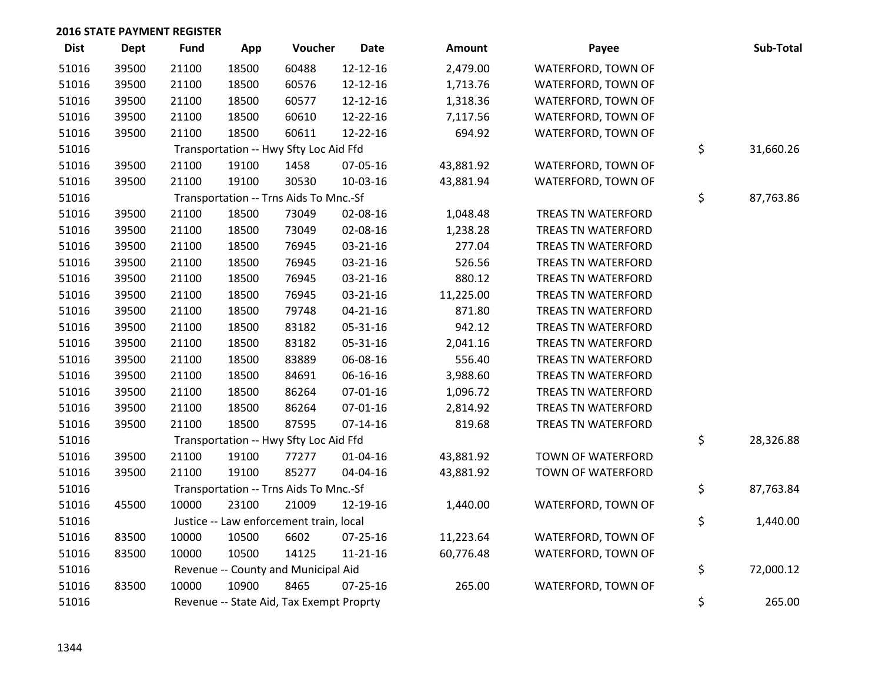| <b>Dist</b> | Dept  | <b>Fund</b> | App   | Voucher                                  | <b>Date</b>    | Amount    | Payee                     | Sub-Total       |
|-------------|-------|-------------|-------|------------------------------------------|----------------|-----------|---------------------------|-----------------|
| 51016       | 39500 | 21100       | 18500 | 60488                                    | 12-12-16       | 2,479.00  | WATERFORD, TOWN OF        |                 |
| 51016       | 39500 | 21100       | 18500 | 60576                                    | 12-12-16       | 1,713.76  | WATERFORD, TOWN OF        |                 |
| 51016       | 39500 | 21100       | 18500 | 60577                                    | 12-12-16       | 1,318.36  | WATERFORD, TOWN OF        |                 |
| 51016       | 39500 | 21100       | 18500 | 60610                                    | 12-22-16       | 7,117.56  | WATERFORD, TOWN OF        |                 |
| 51016       | 39500 | 21100       | 18500 | 60611                                    | 12-22-16       | 694.92    | WATERFORD, TOWN OF        |                 |
| 51016       |       |             |       | Transportation -- Hwy Sfty Loc Aid Ffd   |                |           |                           | \$<br>31,660.26 |
| 51016       | 39500 | 21100       | 19100 | 1458                                     | 07-05-16       | 43,881.92 | WATERFORD, TOWN OF        |                 |
| 51016       | 39500 | 21100       | 19100 | 30530                                    | 10-03-16       | 43,881.94 | WATERFORD, TOWN OF        |                 |
| 51016       |       |             |       | Transportation -- Trns Aids To Mnc.-Sf   |                |           |                           | \$<br>87,763.86 |
| 51016       | 39500 | 21100       | 18500 | 73049                                    | 02-08-16       | 1,048.48  | <b>TREAS TN WATERFORD</b> |                 |
| 51016       | 39500 | 21100       | 18500 | 73049                                    | 02-08-16       | 1,238.28  | <b>TREAS TN WATERFORD</b> |                 |
| 51016       | 39500 | 21100       | 18500 | 76945                                    | 03-21-16       | 277.04    | TREAS TN WATERFORD        |                 |
| 51016       | 39500 | 21100       | 18500 | 76945                                    | 03-21-16       | 526.56    | TREAS TN WATERFORD        |                 |
| 51016       | 39500 | 21100       | 18500 | 76945                                    | 03-21-16       | 880.12    | TREAS TN WATERFORD        |                 |
| 51016       | 39500 | 21100       | 18500 | 76945                                    | 03-21-16       | 11,225.00 | TREAS TN WATERFORD        |                 |
| 51016       | 39500 | 21100       | 18500 | 79748                                    | $04 - 21 - 16$ | 871.80    | TREAS TN WATERFORD        |                 |
| 51016       | 39500 | 21100       | 18500 | 83182                                    | 05-31-16       | 942.12    | TREAS TN WATERFORD        |                 |
| 51016       | 39500 | 21100       | 18500 | 83182                                    | 05-31-16       | 2,041.16  | <b>TREAS TN WATERFORD</b> |                 |
| 51016       | 39500 | 21100       | 18500 | 83889                                    | 06-08-16       | 556.40    | <b>TREAS TN WATERFORD</b> |                 |
| 51016       | 39500 | 21100       | 18500 | 84691                                    | 06-16-16       | 3,988.60  | TREAS TN WATERFORD        |                 |
| 51016       | 39500 | 21100       | 18500 | 86264                                    | $07 - 01 - 16$ | 1,096.72  | TREAS TN WATERFORD        |                 |
| 51016       | 39500 | 21100       | 18500 | 86264                                    | 07-01-16       | 2,814.92  | TREAS TN WATERFORD        |                 |
| 51016       | 39500 | 21100       | 18500 | 87595                                    | $07 - 14 - 16$ | 819.68    | TREAS TN WATERFORD        |                 |
| 51016       |       |             |       | Transportation -- Hwy Sfty Loc Aid Ffd   |                |           |                           | \$<br>28,326.88 |
| 51016       | 39500 | 21100       | 19100 | 77277                                    | 01-04-16       | 43,881.92 | TOWN OF WATERFORD         |                 |
| 51016       | 39500 | 21100       | 19100 | 85277                                    | 04-04-16       | 43,881.92 | TOWN OF WATERFORD         |                 |
| 51016       |       |             |       | Transportation -- Trns Aids To Mnc.-Sf   |                |           |                           | \$<br>87,763.84 |
| 51016       | 45500 | 10000       | 23100 | 21009                                    | 12-19-16       | 1,440.00  | WATERFORD, TOWN OF        |                 |
| 51016       |       |             |       | Justice -- Law enforcement train, local  |                |           |                           | \$<br>1,440.00  |
| 51016       | 83500 | 10000       | 10500 | 6602                                     | 07-25-16       | 11,223.64 | WATERFORD, TOWN OF        |                 |
| 51016       | 83500 | 10000       | 10500 | 14125                                    | $11 - 21 - 16$ | 60,776.48 | WATERFORD, TOWN OF        |                 |
| 51016       |       |             |       | Revenue -- County and Municipal Aid      |                |           |                           | \$<br>72,000.12 |
| 51016       | 83500 | 10000       | 10900 | 8465                                     | $07 - 25 - 16$ | 265.00    | WATERFORD, TOWN OF        |                 |
| 51016       |       |             |       | Revenue -- State Aid, Tax Exempt Proprty |                |           |                           | \$<br>265.00    |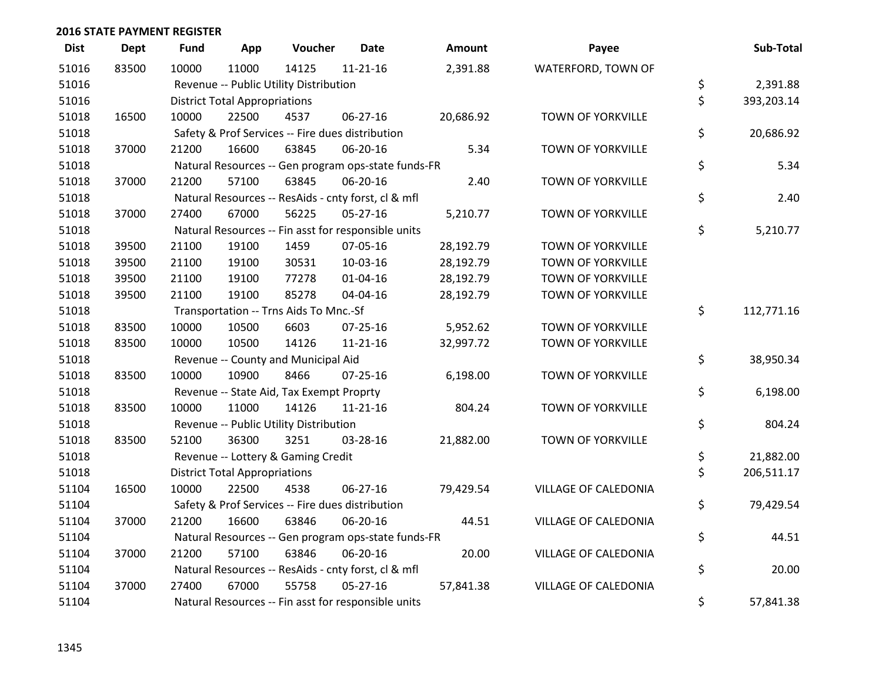| <b>Dist</b> | Dept  | Fund  | App                                  | Voucher                                          | <b>Date</b>                                         | <b>Amount</b> | Payee                       | Sub-Total        |
|-------------|-------|-------|--------------------------------------|--------------------------------------------------|-----------------------------------------------------|---------------|-----------------------------|------------------|
| 51016       | 83500 | 10000 | 11000                                | 14125                                            | $11 - 21 - 16$                                      | 2,391.88      | WATERFORD, TOWN OF          |                  |
| 51016       |       |       |                                      | Revenue -- Public Utility Distribution           |                                                     |               |                             | \$<br>2,391.88   |
| 51016       |       |       | <b>District Total Appropriations</b> |                                                  |                                                     |               |                             | \$<br>393,203.14 |
| 51018       | 16500 | 10000 | 22500                                | 4537                                             | 06-27-16                                            | 20,686.92     | TOWN OF YORKVILLE           |                  |
| 51018       |       |       |                                      | Safety & Prof Services -- Fire dues distribution |                                                     |               |                             | \$<br>20,686.92  |
| 51018       | 37000 | 21200 | 16600                                | 63845                                            | 06-20-16                                            | 5.34          | TOWN OF YORKVILLE           |                  |
| 51018       |       |       |                                      |                                                  | Natural Resources -- Gen program ops-state funds-FR |               |                             | \$<br>5.34       |
| 51018       | 37000 | 21200 | 57100                                | 63845                                            | 06-20-16                                            | 2.40          | TOWN OF YORKVILLE           |                  |
| 51018       |       |       |                                      |                                                  | Natural Resources -- ResAids - cnty forst, cl & mfl |               |                             | \$<br>2.40       |
| 51018       | 37000 | 27400 | 67000                                | 56225                                            | $05 - 27 - 16$                                      | 5,210.77      | TOWN OF YORKVILLE           |                  |
| 51018       |       |       |                                      |                                                  | Natural Resources -- Fin asst for responsible units |               |                             | \$<br>5,210.77   |
| 51018       | 39500 | 21100 | 19100                                | 1459                                             | 07-05-16                                            | 28,192.79     | TOWN OF YORKVILLE           |                  |
| 51018       | 39500 | 21100 | 19100                                | 30531                                            | 10-03-16                                            | 28,192.79     | TOWN OF YORKVILLE           |                  |
| 51018       | 39500 | 21100 | 19100                                | 77278                                            | $01 - 04 - 16$                                      | 28,192.79     | <b>TOWN OF YORKVILLE</b>    |                  |
| 51018       | 39500 | 21100 | 19100                                | 85278                                            | 04-04-16                                            | 28,192.79     | TOWN OF YORKVILLE           |                  |
| 51018       |       |       |                                      | Transportation -- Trns Aids To Mnc.-Sf           |                                                     |               |                             | \$<br>112,771.16 |
| 51018       | 83500 | 10000 | 10500                                | 6603                                             | 07-25-16                                            | 5,952.62      | TOWN OF YORKVILLE           |                  |
| 51018       | 83500 | 10000 | 10500                                | 14126                                            | $11 - 21 - 16$                                      | 32,997.72     | TOWN OF YORKVILLE           |                  |
| 51018       |       |       |                                      | Revenue -- County and Municipal Aid              |                                                     |               |                             | \$<br>38,950.34  |
| 51018       | 83500 | 10000 | 10900                                | 8466                                             | $07 - 25 - 16$                                      | 6,198.00      | TOWN OF YORKVILLE           |                  |
| 51018       |       |       |                                      | Revenue -- State Aid, Tax Exempt Proprty         |                                                     |               |                             | \$<br>6,198.00   |
| 51018       | 83500 | 10000 | 11000                                | 14126                                            | 11-21-16                                            | 804.24        | TOWN OF YORKVILLE           |                  |
| 51018       |       |       |                                      | Revenue -- Public Utility Distribution           |                                                     |               |                             | \$<br>804.24     |
| 51018       | 83500 | 52100 | 36300                                | 3251                                             | 03-28-16                                            | 21,882.00     | TOWN OF YORKVILLE           |                  |
| 51018       |       |       |                                      | Revenue -- Lottery & Gaming Credit               |                                                     |               |                             | \$<br>21,882.00  |
| 51018       |       |       | <b>District Total Appropriations</b> |                                                  |                                                     |               |                             | \$<br>206,511.17 |
| 51104       | 16500 | 10000 | 22500                                | 4538                                             | 06-27-16                                            | 79,429.54     | VILLAGE OF CALEDONIA        |                  |
| 51104       |       |       |                                      | Safety & Prof Services -- Fire dues distribution |                                                     |               |                             | \$<br>79,429.54  |
| 51104       | 37000 | 21200 | 16600                                | 63846                                            | 06-20-16                                            | 44.51         | <b>VILLAGE OF CALEDONIA</b> |                  |
| 51104       |       |       |                                      |                                                  | Natural Resources -- Gen program ops-state funds-FR |               |                             | \$<br>44.51      |
| 51104       | 37000 | 21200 | 57100                                | 63846                                            | 06-20-16                                            | 20.00         | VILLAGE OF CALEDONIA        |                  |
| 51104       |       |       |                                      |                                                  | Natural Resources -- ResAids - cnty forst, cl & mfl |               |                             | \$<br>20.00      |
| 51104       | 37000 | 27400 | 67000                                | 55758                                            | $05 - 27 - 16$                                      | 57,841.38     | <b>VILLAGE OF CALEDONIA</b> |                  |
| 51104       |       |       |                                      |                                                  | Natural Resources -- Fin asst for responsible units |               |                             | \$<br>57,841.38  |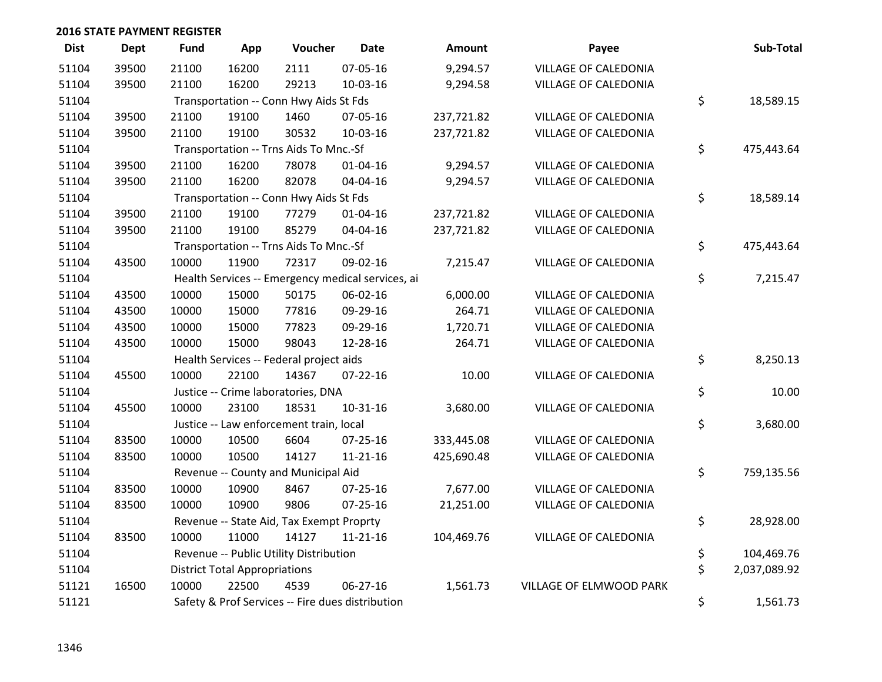| <b>Dist</b> | <b>Dept</b> | <b>Fund</b> | App                                  | Voucher                                  | <b>Date</b>                                       | Amount     | Payee                       | Sub-Total          |
|-------------|-------------|-------------|--------------------------------------|------------------------------------------|---------------------------------------------------|------------|-----------------------------|--------------------|
| 51104       | 39500       | 21100       | 16200                                | 2111                                     | 07-05-16                                          | 9,294.57   | <b>VILLAGE OF CALEDONIA</b> |                    |
| 51104       | 39500       | 21100       | 16200                                | 29213                                    | 10-03-16                                          | 9,294.58   | VILLAGE OF CALEDONIA        |                    |
| 51104       |             |             |                                      | Transportation -- Conn Hwy Aids St Fds   |                                                   |            |                             | \$<br>18,589.15    |
| 51104       | 39500       | 21100       | 19100                                | 1460                                     | 07-05-16                                          | 237,721.82 | VILLAGE OF CALEDONIA        |                    |
| 51104       | 39500       | 21100       | 19100                                | 30532                                    | 10-03-16                                          | 237,721.82 | VILLAGE OF CALEDONIA        |                    |
| 51104       |             |             |                                      | Transportation -- Trns Aids To Mnc.-Sf   |                                                   |            |                             | \$<br>475,443.64   |
| 51104       | 39500       | 21100       | 16200                                | 78078                                    | $01 - 04 - 16$                                    | 9,294.57   | <b>VILLAGE OF CALEDONIA</b> |                    |
| 51104       | 39500       | 21100       | 16200                                | 82078                                    | 04-04-16                                          | 9,294.57   | VILLAGE OF CALEDONIA        |                    |
| 51104       |             |             |                                      | Transportation -- Conn Hwy Aids St Fds   |                                                   |            |                             | \$<br>18,589.14    |
| 51104       | 39500       | 21100       | 19100                                | 77279                                    | $01 - 04 - 16$                                    | 237,721.82 | VILLAGE OF CALEDONIA        |                    |
| 51104       | 39500       | 21100       | 19100                                | 85279                                    | 04-04-16                                          | 237,721.82 | VILLAGE OF CALEDONIA        |                    |
| 51104       |             |             |                                      | Transportation -- Trns Aids To Mnc.-Sf   |                                                   |            |                             | \$<br>475,443.64   |
| 51104       | 43500       | 10000       | 11900                                | 72317                                    | 09-02-16                                          | 7,215.47   | VILLAGE OF CALEDONIA        |                    |
| 51104       |             |             |                                      |                                          | Health Services -- Emergency medical services, ai |            |                             | \$<br>7,215.47     |
| 51104       | 43500       | 10000       | 15000                                | 50175                                    | 06-02-16                                          | 6,000.00   | VILLAGE OF CALEDONIA        |                    |
| 51104       | 43500       | 10000       | 15000                                | 77816                                    | 09-29-16                                          | 264.71     | <b>VILLAGE OF CALEDONIA</b> |                    |
| 51104       | 43500       | 10000       | 15000                                | 77823                                    | 09-29-16                                          | 1,720.71   | VILLAGE OF CALEDONIA        |                    |
| 51104       | 43500       | 10000       | 15000                                | 98043                                    | 12-28-16                                          | 264.71     | <b>VILLAGE OF CALEDONIA</b> |                    |
| 51104       |             |             |                                      | Health Services -- Federal project aids  |                                                   |            |                             | \$<br>8,250.13     |
| 51104       | 45500       | 10000       | 22100                                | 14367                                    | $07 - 22 - 16$                                    | 10.00      | <b>VILLAGE OF CALEDONIA</b> |                    |
| 51104       |             |             |                                      | Justice -- Crime laboratories, DNA       |                                                   |            |                             | \$<br>10.00        |
| 51104       | 45500       | 10000       | 23100                                | 18531                                    | $10 - 31 - 16$                                    | 3,680.00   | VILLAGE OF CALEDONIA        |                    |
| 51104       |             |             |                                      | Justice -- Law enforcement train, local  |                                                   |            |                             | \$<br>3,680.00     |
| 51104       | 83500       | 10000       | 10500                                | 6604                                     | $07 - 25 - 16$                                    | 333,445.08 | <b>VILLAGE OF CALEDONIA</b> |                    |
| 51104       | 83500       | 10000       | 10500                                | 14127                                    | $11 - 21 - 16$                                    | 425,690.48 | VILLAGE OF CALEDONIA        |                    |
| 51104       |             |             |                                      | Revenue -- County and Municipal Aid      |                                                   |            |                             | \$<br>759,135.56   |
| 51104       | 83500       | 10000       | 10900                                | 8467                                     | 07-25-16                                          | 7,677.00   | VILLAGE OF CALEDONIA        |                    |
| 51104       | 83500       | 10000       | 10900                                | 9806                                     | $07 - 25 - 16$                                    | 21,251.00  | VILLAGE OF CALEDONIA        |                    |
| 51104       |             |             |                                      | Revenue -- State Aid, Tax Exempt Proprty |                                                   |            |                             | \$<br>28,928.00    |
| 51104       | 83500       | 10000       | 11000                                | 14127                                    | $11 - 21 - 16$                                    | 104,469.76 | VILLAGE OF CALEDONIA        |                    |
| 51104       |             |             |                                      | Revenue -- Public Utility Distribution   |                                                   |            |                             | \$<br>104,469.76   |
| 51104       |             |             | <b>District Total Appropriations</b> |                                          |                                                   |            |                             | \$<br>2,037,089.92 |
| 51121       | 16500       | 10000       | 22500                                | 4539                                     | 06-27-16                                          | 1,561.73   | VILLAGE OF ELMWOOD PARK     |                    |
| 51121       |             |             |                                      |                                          | Safety & Prof Services -- Fire dues distribution  |            |                             | \$<br>1,561.73     |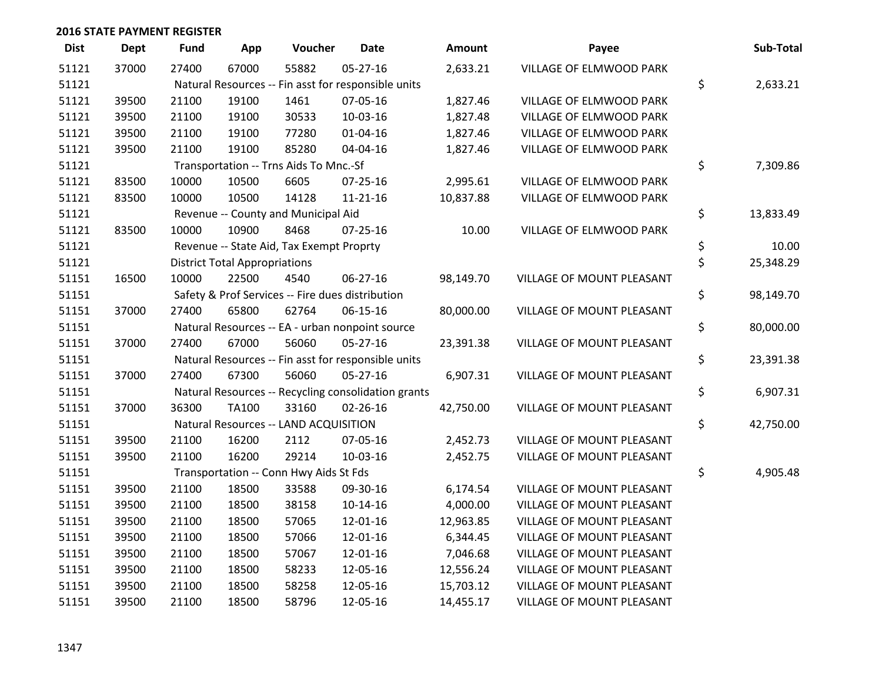| <b>Dist</b> | <b>Dept</b> | <b>Fund</b> | App                                  | Voucher                                             | <b>Date</b>    | <b>Amount</b> | Payee                     | Sub-Total       |
|-------------|-------------|-------------|--------------------------------------|-----------------------------------------------------|----------------|---------------|---------------------------|-----------------|
| 51121       | 37000       | 27400       | 67000                                | 55882                                               | 05-27-16       | 2,633.21      | VILLAGE OF ELMWOOD PARK   |                 |
| 51121       |             |             |                                      | Natural Resources -- Fin asst for responsible units |                |               |                           | \$<br>2,633.21  |
| 51121       | 39500       | 21100       | 19100                                | 1461                                                | 07-05-16       | 1,827.46      | VILLAGE OF ELMWOOD PARK   |                 |
| 51121       | 39500       | 21100       | 19100                                | 30533                                               | 10-03-16       | 1,827.48      | VILLAGE OF ELMWOOD PARK   |                 |
| 51121       | 39500       | 21100       | 19100                                | 77280                                               | 01-04-16       | 1,827.46      | VILLAGE OF ELMWOOD PARK   |                 |
| 51121       | 39500       | 21100       | 19100                                | 85280                                               | 04-04-16       | 1,827.46      | VILLAGE OF ELMWOOD PARK   |                 |
| 51121       |             |             |                                      | Transportation -- Trns Aids To Mnc.-Sf              |                |               |                           | \$<br>7,309.86  |
| 51121       | 83500       | 10000       | 10500                                | 6605                                                | $07 - 25 - 16$ | 2,995.61      | VILLAGE OF ELMWOOD PARK   |                 |
| 51121       | 83500       | 10000       | 10500                                | 14128                                               | $11 - 21 - 16$ | 10,837.88     | VILLAGE OF ELMWOOD PARK   |                 |
| 51121       |             |             |                                      | Revenue -- County and Municipal Aid                 |                |               |                           | \$<br>13,833.49 |
| 51121       | 83500       | 10000       | 10900                                | 8468                                                | $07 - 25 - 16$ | 10.00         | VILLAGE OF ELMWOOD PARK   |                 |
| 51121       |             |             |                                      | Revenue -- State Aid, Tax Exempt Proprty            |                |               |                           | \$<br>10.00     |
| 51121       |             |             | <b>District Total Appropriations</b> |                                                     |                |               |                           | \$<br>25,348.29 |
| 51151       | 16500       | 10000       | 22500                                | 4540                                                | 06-27-16       | 98,149.70     | VILLAGE OF MOUNT PLEASANT |                 |
| 51151       |             |             |                                      | Safety & Prof Services -- Fire dues distribution    |                |               |                           | \$<br>98,149.70 |
| 51151       | 37000       | 27400       | 65800                                | 62764                                               | 06-15-16       | 80,000.00     | VILLAGE OF MOUNT PLEASANT |                 |
| 51151       |             |             |                                      | Natural Resources -- EA - urban nonpoint source     |                |               |                           | \$<br>80,000.00 |
| 51151       | 37000       | 27400       | 67000                                | 56060                                               | 05-27-16       | 23,391.38     | VILLAGE OF MOUNT PLEASANT |                 |
| 51151       |             |             |                                      | Natural Resources -- Fin asst for responsible units |                |               |                           | \$<br>23,391.38 |
| 51151       | 37000       | 27400       | 67300                                | 56060                                               | $05 - 27 - 16$ | 6,907.31      | VILLAGE OF MOUNT PLEASANT |                 |
| 51151       |             |             |                                      | Natural Resources -- Recycling consolidation grants |                |               |                           | \$<br>6,907.31  |
| 51151       | 37000       | 36300       | <b>TA100</b>                         | 33160                                               | $02 - 26 - 16$ | 42,750.00     | VILLAGE OF MOUNT PLEASANT |                 |
| 51151       |             |             |                                      | Natural Resources -- LAND ACQUISITION               |                |               |                           | \$<br>42,750.00 |
| 51151       | 39500       | 21100       | 16200                                | 2112                                                | 07-05-16       | 2,452.73      | VILLAGE OF MOUNT PLEASANT |                 |
| 51151       | 39500       | 21100       | 16200                                | 29214                                               | 10-03-16       | 2,452.75      | VILLAGE OF MOUNT PLEASANT |                 |
| 51151       |             |             |                                      | Transportation -- Conn Hwy Aids St Fds              |                |               |                           | \$<br>4,905.48  |
| 51151       | 39500       | 21100       | 18500                                | 33588                                               | 09-30-16       | 6,174.54      | VILLAGE OF MOUNT PLEASANT |                 |
| 51151       | 39500       | 21100       | 18500                                | 38158                                               | $10-14-16$     | 4,000.00      | VILLAGE OF MOUNT PLEASANT |                 |
| 51151       | 39500       | 21100       | 18500                                | 57065                                               | 12-01-16       | 12,963.85     | VILLAGE OF MOUNT PLEASANT |                 |
| 51151       | 39500       | 21100       | 18500                                | 57066                                               | 12-01-16       | 6,344.45      | VILLAGE OF MOUNT PLEASANT |                 |
| 51151       | 39500       | 21100       | 18500                                | 57067                                               | 12-01-16       | 7,046.68      | VILLAGE OF MOUNT PLEASANT |                 |
| 51151       | 39500       | 21100       | 18500                                | 58233                                               | 12-05-16       | 12,556.24     | VILLAGE OF MOUNT PLEASANT |                 |
| 51151       | 39500       | 21100       | 18500                                | 58258                                               | 12-05-16       | 15,703.12     | VILLAGE OF MOUNT PLEASANT |                 |
| 51151       | 39500       | 21100       | 18500                                | 58796                                               | 12-05-16       | 14,455.17     | VILLAGE OF MOUNT PLEASANT |                 |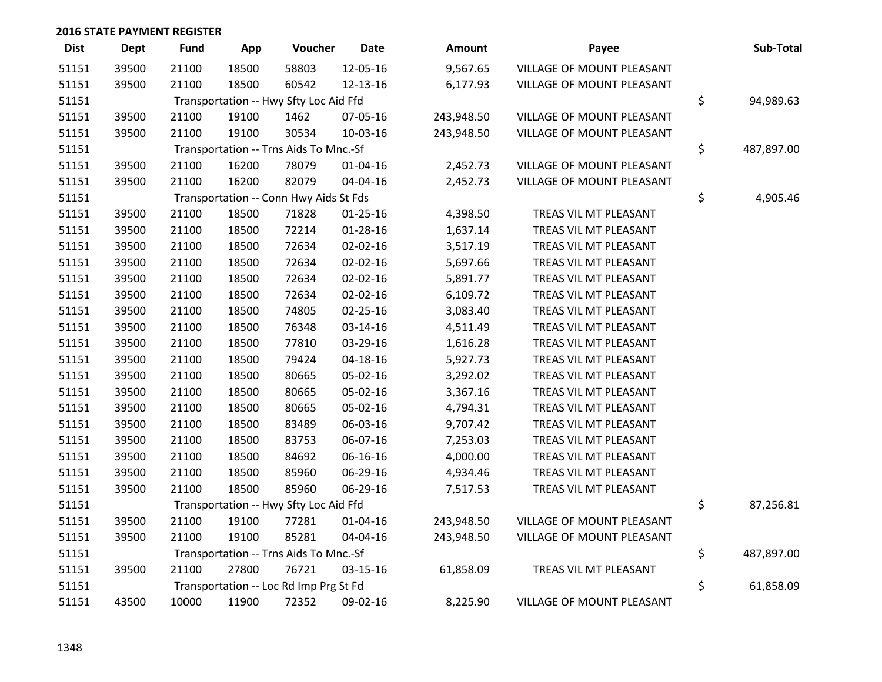| <b>Dist</b> | <b>Dept</b> | <b>Fund</b> | App   | Voucher                                | <b>Date</b>    | <b>Amount</b> | Payee                     | Sub-Total        |
|-------------|-------------|-------------|-------|----------------------------------------|----------------|---------------|---------------------------|------------------|
| 51151       | 39500       | 21100       | 18500 | 58803                                  | 12-05-16       | 9,567.65      | VILLAGE OF MOUNT PLEASANT |                  |
| 51151       | 39500       | 21100       | 18500 | 60542                                  | 12-13-16       | 6,177.93      | VILLAGE OF MOUNT PLEASANT |                  |
| 51151       |             |             |       | Transportation -- Hwy Sfty Loc Aid Ffd |                |               |                           | \$<br>94,989.63  |
| 51151       | 39500       | 21100       | 19100 | 1462                                   | 07-05-16       | 243,948.50    | VILLAGE OF MOUNT PLEASANT |                  |
| 51151       | 39500       | 21100       | 19100 | 30534                                  | 10-03-16       | 243,948.50    | VILLAGE OF MOUNT PLEASANT |                  |
| 51151       |             |             |       | Transportation -- Trns Aids To Mnc.-Sf |                |               |                           | \$<br>487,897.00 |
| 51151       | 39500       | 21100       | 16200 | 78079                                  | $01 - 04 - 16$ | 2,452.73      | VILLAGE OF MOUNT PLEASANT |                  |
| 51151       | 39500       | 21100       | 16200 | 82079                                  | 04-04-16       | 2,452.73      | VILLAGE OF MOUNT PLEASANT |                  |
| 51151       |             |             |       | Transportation -- Conn Hwy Aids St Fds |                |               |                           | \$<br>4,905.46   |
| 51151       | 39500       | 21100       | 18500 | 71828                                  | $01 - 25 - 16$ | 4,398.50      | TREAS VIL MT PLEASANT     |                  |
| 51151       | 39500       | 21100       | 18500 | 72214                                  | $01 - 28 - 16$ | 1,637.14      | TREAS VIL MT PLEASANT     |                  |
| 51151       | 39500       | 21100       | 18500 | 72634                                  | 02-02-16       | 3,517.19      | TREAS VIL MT PLEASANT     |                  |
| 51151       | 39500       | 21100       | 18500 | 72634                                  | 02-02-16       | 5,697.66      | TREAS VIL MT PLEASANT     |                  |
| 51151       | 39500       | 21100       | 18500 | 72634                                  | 02-02-16       | 5,891.77      | TREAS VIL MT PLEASANT     |                  |
| 51151       | 39500       | 21100       | 18500 | 72634                                  | 02-02-16       | 6,109.72      | TREAS VIL MT PLEASANT     |                  |
| 51151       | 39500       | 21100       | 18500 | 74805                                  | 02-25-16       | 3,083.40      | TREAS VIL MT PLEASANT     |                  |
| 51151       | 39500       | 21100       | 18500 | 76348                                  | 03-14-16       | 4,511.49      | TREAS VIL MT PLEASANT     |                  |
| 51151       | 39500       | 21100       | 18500 | 77810                                  | 03-29-16       | 1,616.28      | TREAS VIL MT PLEASANT     |                  |
| 51151       | 39500       | 21100       | 18500 | 79424                                  | $04 - 18 - 16$ | 5,927.73      | TREAS VIL MT PLEASANT     |                  |
| 51151       | 39500       | 21100       | 18500 | 80665                                  | 05-02-16       | 3,292.02      | TREAS VIL MT PLEASANT     |                  |
| 51151       | 39500       | 21100       | 18500 | 80665                                  | 05-02-16       | 3,367.16      | TREAS VIL MT PLEASANT     |                  |
| 51151       | 39500       | 21100       | 18500 | 80665                                  | 05-02-16       | 4,794.31      | TREAS VIL MT PLEASANT     |                  |
| 51151       | 39500       | 21100       | 18500 | 83489                                  | 06-03-16       | 9,707.42      | TREAS VIL MT PLEASANT     |                  |
| 51151       | 39500       | 21100       | 18500 | 83753                                  | 06-07-16       | 7,253.03      | TREAS VIL MT PLEASANT     |                  |
| 51151       | 39500       | 21100       | 18500 | 84692                                  | 06-16-16       | 4,000.00      | TREAS VIL MT PLEASANT     |                  |
| 51151       | 39500       | 21100       | 18500 | 85960                                  | 06-29-16       | 4,934.46      | TREAS VIL MT PLEASANT     |                  |
| 51151       | 39500       | 21100       | 18500 | 85960                                  | 06-29-16       | 7,517.53      | TREAS VIL MT PLEASANT     |                  |
| 51151       |             |             |       | Transportation -- Hwy Sfty Loc Aid Ffd |                |               |                           | \$<br>87,256.81  |
| 51151       | 39500       | 21100       | 19100 | 77281                                  | $01 - 04 - 16$ | 243,948.50    | VILLAGE OF MOUNT PLEASANT |                  |
| 51151       | 39500       | 21100       | 19100 | 85281                                  | 04-04-16       | 243,948.50    | VILLAGE OF MOUNT PLEASANT |                  |
| 51151       |             |             |       | Transportation -- Trns Aids To Mnc.-Sf |                |               |                           | \$<br>487,897.00 |
| 51151       | 39500       | 21100       | 27800 | 76721                                  | 03-15-16       | 61,858.09     | TREAS VIL MT PLEASANT     |                  |
| 51151       |             |             |       | Transportation -- Loc Rd Imp Prg St Fd |                |               |                           | \$<br>61,858.09  |
| 51151       | 43500       | 10000       | 11900 | 72352                                  | 09-02-16       | 8,225.90      | VILLAGE OF MOUNT PLEASANT |                  |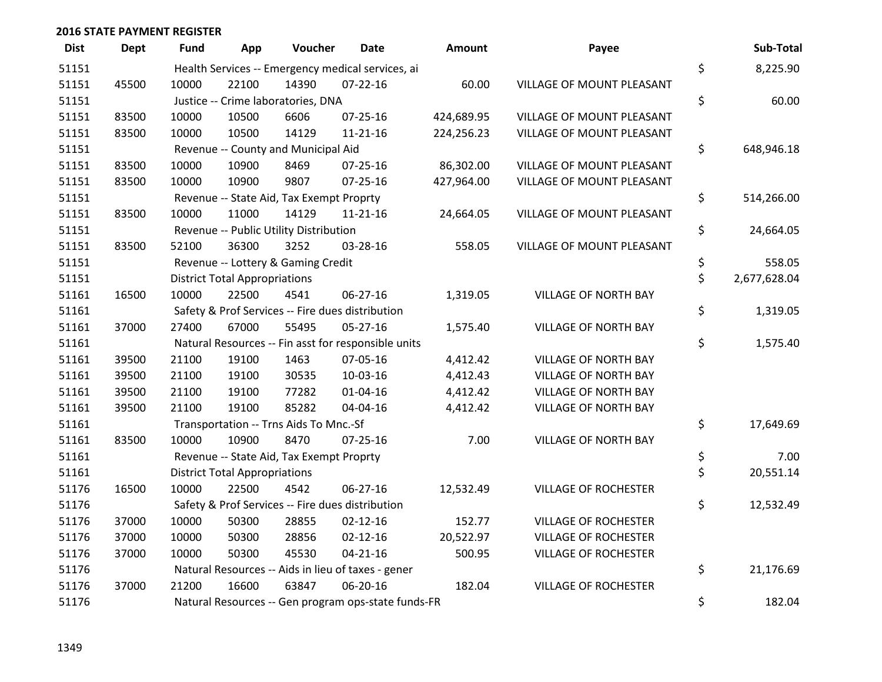| <b>Dist</b> | <b>Dept</b> | <b>Fund</b> | App                                  | Voucher                                  | <b>Date</b>                                         | <b>Amount</b> | Payee                            | Sub-Total          |
|-------------|-------------|-------------|--------------------------------------|------------------------------------------|-----------------------------------------------------|---------------|----------------------------------|--------------------|
| 51151       |             |             |                                      |                                          | Health Services -- Emergency medical services, ai   |               |                                  | \$<br>8,225.90     |
| 51151       | 45500       | 10000       | 22100                                | 14390                                    | $07 - 22 - 16$                                      | 60.00         | <b>VILLAGE OF MOUNT PLEASANT</b> |                    |
| 51151       |             |             |                                      | Justice -- Crime laboratories, DNA       |                                                     |               |                                  | \$<br>60.00        |
| 51151       | 83500       | 10000       | 10500                                | 6606                                     | $07 - 25 - 16$                                      | 424,689.95    | VILLAGE OF MOUNT PLEASANT        |                    |
| 51151       | 83500       | 10000       | 10500                                | 14129                                    | $11 - 21 - 16$                                      | 224,256.23    | VILLAGE OF MOUNT PLEASANT        |                    |
| 51151       |             |             |                                      | Revenue -- County and Municipal Aid      |                                                     |               |                                  | \$<br>648,946.18   |
| 51151       | 83500       | 10000       | 10900                                | 8469                                     | $07 - 25 - 16$                                      | 86,302.00     | VILLAGE OF MOUNT PLEASANT        |                    |
| 51151       | 83500       | 10000       | 10900                                | 9807                                     | $07 - 25 - 16$                                      | 427,964.00    | VILLAGE OF MOUNT PLEASANT        |                    |
| 51151       |             |             |                                      | Revenue -- State Aid, Tax Exempt Proprty |                                                     |               |                                  | \$<br>514,266.00   |
| 51151       | 83500       | 10000       | 11000                                | 14129                                    | $11 - 21 - 16$                                      | 24,664.05     | VILLAGE OF MOUNT PLEASANT        |                    |
| 51151       |             |             |                                      | Revenue -- Public Utility Distribution   |                                                     |               |                                  | \$<br>24,664.05    |
| 51151       | 83500       | 52100       | 36300                                | 3252                                     | 03-28-16                                            | 558.05        | VILLAGE OF MOUNT PLEASANT        |                    |
| 51151       |             |             |                                      | Revenue -- Lottery & Gaming Credit       |                                                     |               |                                  | \$<br>558.05       |
| 51151       |             |             | <b>District Total Appropriations</b> |                                          |                                                     |               |                                  | \$<br>2,677,628.04 |
| 51161       | 16500       | 10000       | 22500                                | 4541                                     | 06-27-16                                            | 1,319.05      | <b>VILLAGE OF NORTH BAY</b>      |                    |
| 51161       |             |             |                                      |                                          | Safety & Prof Services -- Fire dues distribution    |               |                                  | \$<br>1,319.05     |
| 51161       | 37000       | 27400       | 67000                                | 55495                                    | $05 - 27 - 16$                                      | 1,575.40      | VILLAGE OF NORTH BAY             |                    |
| 51161       |             |             |                                      |                                          | Natural Resources -- Fin asst for responsible units |               |                                  | \$<br>1,575.40     |
| 51161       | 39500       | 21100       | 19100                                | 1463                                     | 07-05-16                                            | 4,412.42      | VILLAGE OF NORTH BAY             |                    |
| 51161       | 39500       | 21100       | 19100                                | 30535                                    | 10-03-16                                            | 4,412.43      | <b>VILLAGE OF NORTH BAY</b>      |                    |
| 51161       | 39500       | 21100       | 19100                                | 77282                                    | $01 - 04 - 16$                                      | 4,412.42      | VILLAGE OF NORTH BAY             |                    |
| 51161       | 39500       | 21100       | 19100                                | 85282                                    | 04-04-16                                            | 4,412.42      | VILLAGE OF NORTH BAY             |                    |
| 51161       |             |             |                                      | Transportation -- Trns Aids To Mnc.-Sf   |                                                     |               |                                  | \$<br>17,649.69    |
| 51161       | 83500       | 10000       | 10900                                | 8470                                     | $07 - 25 - 16$                                      | 7.00          | <b>VILLAGE OF NORTH BAY</b>      |                    |
| 51161       |             |             |                                      | Revenue -- State Aid, Tax Exempt Proprty |                                                     |               |                                  | \$<br>7.00         |
| 51161       |             |             | <b>District Total Appropriations</b> |                                          |                                                     |               |                                  | \$<br>20,551.14    |
| 51176       | 16500       | 10000       | 22500                                | 4542                                     | 06-27-16                                            | 12,532.49     | <b>VILLAGE OF ROCHESTER</b>      |                    |
| 51176       |             |             |                                      |                                          | Safety & Prof Services -- Fire dues distribution    |               |                                  | \$<br>12,532.49    |
| 51176       | 37000       | 10000       | 50300                                | 28855                                    | $02 - 12 - 16$                                      | 152.77        | <b>VILLAGE OF ROCHESTER</b>      |                    |
| 51176       | 37000       | 10000       | 50300                                | 28856                                    | $02 - 12 - 16$                                      | 20,522.97     | <b>VILLAGE OF ROCHESTER</b>      |                    |
| 51176       | 37000       | 10000       | 50300                                | 45530                                    | $04 - 21 - 16$                                      | 500.95        | <b>VILLAGE OF ROCHESTER</b>      |                    |
| 51176       |             |             |                                      |                                          | Natural Resources -- Aids in lieu of taxes - gener  |               |                                  | \$<br>21,176.69    |
| 51176       | 37000       | 21200       | 16600                                | 63847                                    | 06-20-16                                            | 182.04        | <b>VILLAGE OF ROCHESTER</b>      |                    |
| 51176       |             |             |                                      |                                          | Natural Resources -- Gen program ops-state funds-FR |               |                                  | \$<br>182.04       |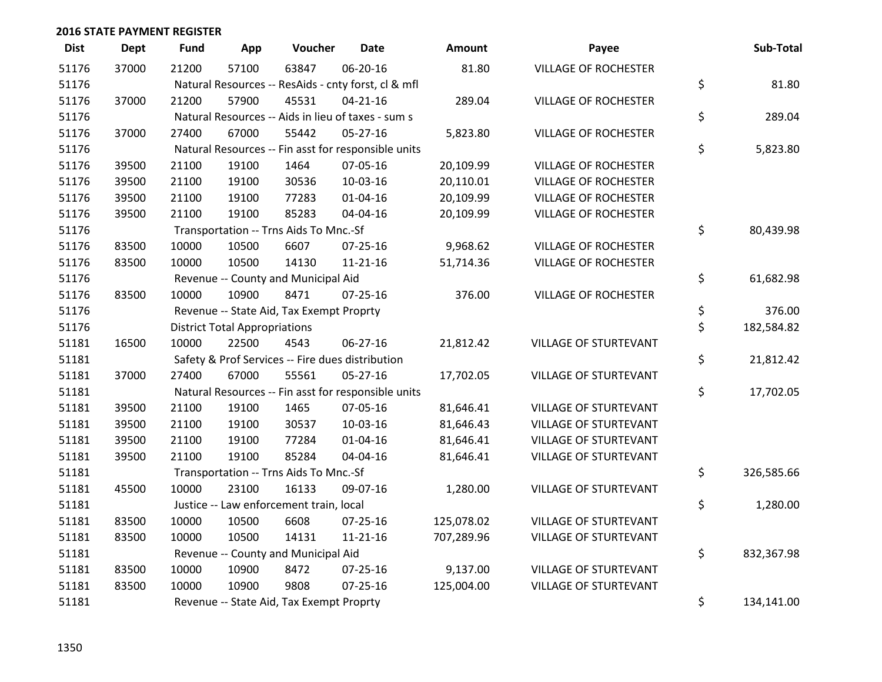| <b>Dist</b> | <b>Dept</b> | <b>Fund</b> | App                                  | Voucher                                          | <b>Date</b>                                         | <b>Amount</b> | Payee                        | Sub-Total        |
|-------------|-------------|-------------|--------------------------------------|--------------------------------------------------|-----------------------------------------------------|---------------|------------------------------|------------------|
| 51176       | 37000       | 21200       | 57100                                | 63847                                            | 06-20-16                                            | 81.80         | <b>VILLAGE OF ROCHESTER</b>  |                  |
| 51176       |             |             |                                      |                                                  | Natural Resources -- ResAids - cnty forst, cl & mfl |               |                              | \$<br>81.80      |
| 51176       | 37000       | 21200       | 57900                                | 45531                                            | $04 - 21 - 16$                                      | 289.04        | <b>VILLAGE OF ROCHESTER</b>  |                  |
| 51176       |             |             |                                      |                                                  | Natural Resources -- Aids in lieu of taxes - sum s  |               |                              | \$<br>289.04     |
| 51176       | 37000       | 27400       | 67000                                | 55442                                            | $05 - 27 - 16$                                      | 5,823.80      | <b>VILLAGE OF ROCHESTER</b>  |                  |
| 51176       |             |             |                                      |                                                  | Natural Resources -- Fin asst for responsible units |               |                              | \$<br>5,823.80   |
| 51176       | 39500       | 21100       | 19100                                | 1464                                             | 07-05-16                                            | 20,109.99     | <b>VILLAGE OF ROCHESTER</b>  |                  |
| 51176       | 39500       | 21100       | 19100                                | 30536                                            | 10-03-16                                            | 20,110.01     | <b>VILLAGE OF ROCHESTER</b>  |                  |
| 51176       | 39500       | 21100       | 19100                                | 77283                                            | $01 - 04 - 16$                                      | 20,109.99     | <b>VILLAGE OF ROCHESTER</b>  |                  |
| 51176       | 39500       | 21100       | 19100                                | 85283                                            | 04-04-16                                            | 20,109.99     | VILLAGE OF ROCHESTER         |                  |
| 51176       |             |             |                                      | Transportation -- Trns Aids To Mnc.-Sf           |                                                     |               |                              | \$<br>80,439.98  |
| 51176       | 83500       | 10000       | 10500                                | 6607                                             | $07 - 25 - 16$                                      | 9,968.62      | <b>VILLAGE OF ROCHESTER</b>  |                  |
| 51176       | 83500       | 10000       | 10500                                | 14130                                            | $11 - 21 - 16$                                      | 51,714.36     | <b>VILLAGE OF ROCHESTER</b>  |                  |
| 51176       |             |             |                                      | Revenue -- County and Municipal Aid              |                                                     |               |                              | \$<br>61,682.98  |
| 51176       | 83500       | 10000       | 10900                                | 8471                                             | $07 - 25 - 16$                                      | 376.00        | <b>VILLAGE OF ROCHESTER</b>  |                  |
| 51176       |             |             |                                      | Revenue -- State Aid, Tax Exempt Proprty         |                                                     |               |                              | \$<br>376.00     |
| 51176       |             |             | <b>District Total Appropriations</b> |                                                  |                                                     |               |                              | \$<br>182,584.82 |
| 51181       | 16500       | 10000       | 22500                                | 4543                                             | 06-27-16                                            | 21,812.42     | <b>VILLAGE OF STURTEVANT</b> |                  |
| 51181       |             |             |                                      | Safety & Prof Services -- Fire dues distribution |                                                     |               |                              | \$<br>21,812.42  |
| 51181       | 37000       | 27400       | 67000                                | 55561                                            | 05-27-16                                            | 17,702.05     | <b>VILLAGE OF STURTEVANT</b> |                  |
| 51181       |             |             |                                      |                                                  | Natural Resources -- Fin asst for responsible units |               |                              | \$<br>17,702.05  |
| 51181       | 39500       | 21100       | 19100                                | 1465                                             | 07-05-16                                            | 81,646.41     | <b>VILLAGE OF STURTEVANT</b> |                  |
| 51181       | 39500       | 21100       | 19100                                | 30537                                            | 10-03-16                                            | 81,646.43     | VILLAGE OF STURTEVANT        |                  |
| 51181       | 39500       | 21100       | 19100                                | 77284                                            | $01 - 04 - 16$                                      | 81,646.41     | VILLAGE OF STURTEVANT        |                  |
| 51181       | 39500       | 21100       | 19100                                | 85284                                            | 04-04-16                                            | 81,646.41     | VILLAGE OF STURTEVANT        |                  |
| 51181       |             |             |                                      | Transportation -- Trns Aids To Mnc.-Sf           |                                                     |               |                              | \$<br>326,585.66 |
| 51181       | 45500       | 10000       | 23100                                | 16133                                            | 09-07-16                                            | 1,280.00      | <b>VILLAGE OF STURTEVANT</b> |                  |
| 51181       |             |             |                                      | Justice -- Law enforcement train, local          |                                                     |               |                              | \$<br>1,280.00   |
| 51181       | 83500       | 10000       | 10500                                | 6608                                             | 07-25-16                                            | 125,078.02    | VILLAGE OF STURTEVANT        |                  |
| 51181       | 83500       | 10000       | 10500                                | 14131                                            | $11 - 21 - 16$                                      | 707,289.96    | VILLAGE OF STURTEVANT        |                  |
| 51181       |             |             |                                      | Revenue -- County and Municipal Aid              |                                                     |               |                              | \$<br>832,367.98 |
| 51181       | 83500       | 10000       | 10900                                | 8472                                             | $07 - 25 - 16$                                      | 9,137.00      | VILLAGE OF STURTEVANT        |                  |
| 51181       | 83500       | 10000       | 10900                                | 9808                                             | $07 - 25 - 16$                                      | 125,004.00    | <b>VILLAGE OF STURTEVANT</b> |                  |
| 51181       |             |             |                                      | Revenue -- State Aid, Tax Exempt Proprty         |                                                     |               |                              | \$<br>134,141.00 |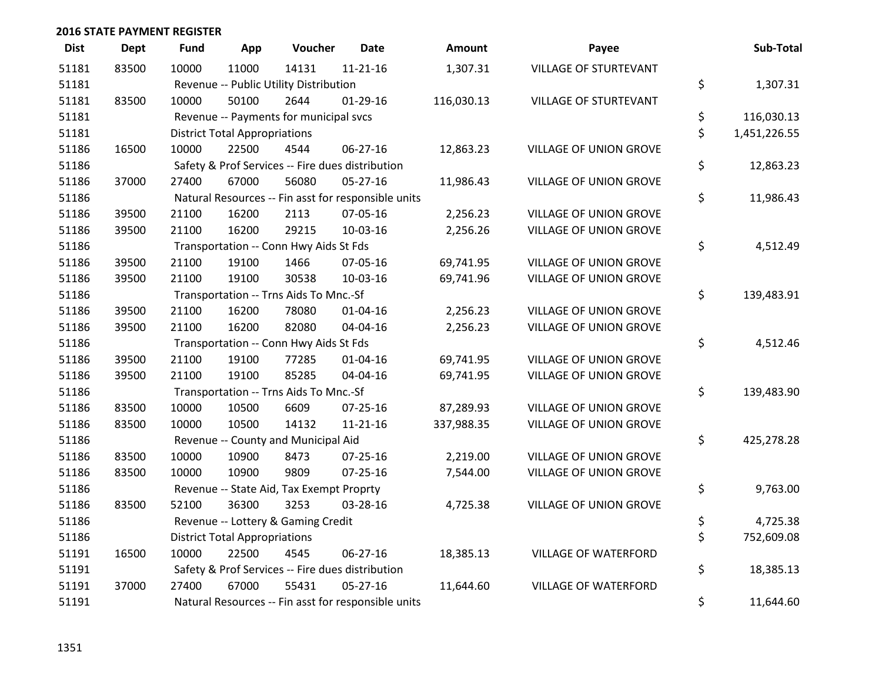| <b>Dist</b> | <b>Dept</b> | Fund  | App                                  | Voucher                                  | <b>Date</b>                                         | <b>Amount</b> | Payee                         | Sub-Total          |
|-------------|-------------|-------|--------------------------------------|------------------------------------------|-----------------------------------------------------|---------------|-------------------------------|--------------------|
| 51181       | 83500       | 10000 | 11000                                | 14131                                    | $11 - 21 - 16$                                      | 1,307.31      | VILLAGE OF STURTEVANT         |                    |
| 51181       |             |       |                                      | Revenue -- Public Utility Distribution   |                                                     |               |                               | \$<br>1,307.31     |
| 51181       | 83500       | 10000 | 50100                                | 2644                                     | $01-29-16$                                          | 116,030.13    | VILLAGE OF STURTEVANT         |                    |
| 51181       |             |       |                                      | Revenue -- Payments for municipal svcs   |                                                     |               |                               | \$<br>116,030.13   |
| 51181       |             |       | <b>District Total Appropriations</b> |                                          |                                                     |               |                               | \$<br>1,451,226.55 |
| 51186       | 16500       | 10000 | 22500                                | 4544                                     | $06 - 27 - 16$                                      | 12,863.23     | <b>VILLAGE OF UNION GROVE</b> |                    |
| 51186       |             |       |                                      |                                          | Safety & Prof Services -- Fire dues distribution    |               |                               | \$<br>12,863.23    |
| 51186       | 37000       | 27400 | 67000                                | 56080                                    | $05 - 27 - 16$                                      | 11,986.43     | VILLAGE OF UNION GROVE        |                    |
| 51186       |             |       |                                      |                                          | Natural Resources -- Fin asst for responsible units |               |                               | \$<br>11,986.43    |
| 51186       | 39500       | 21100 | 16200                                | 2113                                     | 07-05-16                                            | 2,256.23      | <b>VILLAGE OF UNION GROVE</b> |                    |
| 51186       | 39500       | 21100 | 16200                                | 29215                                    | 10-03-16                                            | 2,256.26      | VILLAGE OF UNION GROVE        |                    |
| 51186       |             |       |                                      | Transportation -- Conn Hwy Aids St Fds   |                                                     |               |                               | \$<br>4,512.49     |
| 51186       | 39500       | 21100 | 19100                                | 1466                                     | 07-05-16                                            | 69,741.95     | <b>VILLAGE OF UNION GROVE</b> |                    |
| 51186       | 39500       | 21100 | 19100                                | 30538                                    | 10-03-16                                            | 69,741.96     | VILLAGE OF UNION GROVE        |                    |
| 51186       |             |       |                                      | Transportation -- Trns Aids To Mnc.-Sf   |                                                     |               |                               | \$<br>139,483.91   |
| 51186       | 39500       | 21100 | 16200                                | 78080                                    | $01 - 04 - 16$                                      | 2,256.23      | <b>VILLAGE OF UNION GROVE</b> |                    |
| 51186       | 39500       | 21100 | 16200                                | 82080                                    | 04-04-16                                            | 2,256.23      | VILLAGE OF UNION GROVE        |                    |
| 51186       |             |       |                                      | Transportation -- Conn Hwy Aids St Fds   |                                                     |               |                               | \$<br>4,512.46     |
| 51186       | 39500       | 21100 | 19100                                | 77285                                    | $01 - 04 - 16$                                      | 69,741.95     | VILLAGE OF UNION GROVE        |                    |
| 51186       | 39500       | 21100 | 19100                                | 85285                                    | 04-04-16                                            | 69,741.95     | VILLAGE OF UNION GROVE        |                    |
| 51186       |             |       |                                      | Transportation -- Trns Aids To Mnc.-Sf   |                                                     |               |                               | \$<br>139,483.90   |
| 51186       | 83500       | 10000 | 10500                                | 6609                                     | 07-25-16                                            | 87,289.93     | VILLAGE OF UNION GROVE        |                    |
| 51186       | 83500       | 10000 | 10500                                | 14132                                    | $11 - 21 - 16$                                      | 337,988.35    | VILLAGE OF UNION GROVE        |                    |
| 51186       |             |       |                                      | Revenue -- County and Municipal Aid      |                                                     |               |                               | \$<br>425,278.28   |
| 51186       | 83500       | 10000 | 10900                                | 8473                                     | $07 - 25 - 16$                                      | 2,219.00      | VILLAGE OF UNION GROVE        |                    |
| 51186       | 83500       | 10000 | 10900                                | 9809                                     | $07 - 25 - 16$                                      | 7,544.00      | VILLAGE OF UNION GROVE        |                    |
| 51186       |             |       |                                      | Revenue -- State Aid, Tax Exempt Proprty |                                                     |               |                               | \$<br>9,763.00     |
| 51186       | 83500       | 52100 | 36300                                | 3253                                     | 03-28-16                                            | 4,725.38      | VILLAGE OF UNION GROVE        |                    |
| 51186       |             |       |                                      | Revenue -- Lottery & Gaming Credit       |                                                     |               |                               | \$<br>4,725.38     |
| 51186       |             |       | <b>District Total Appropriations</b> |                                          |                                                     |               |                               | \$<br>752,609.08   |
| 51191       | 16500       | 10000 | 22500                                | 4545                                     | 06-27-16                                            | 18,385.13     | VILLAGE OF WATERFORD          |                    |
| 51191       |             |       |                                      |                                          | Safety & Prof Services -- Fire dues distribution    |               |                               | \$<br>18,385.13    |
| 51191       | 37000       | 27400 | 67000                                | 55431                                    | $05 - 27 - 16$                                      | 11,644.60     | <b>VILLAGE OF WATERFORD</b>   |                    |
| 51191       |             |       |                                      |                                          | Natural Resources -- Fin asst for responsible units |               |                               | \$<br>11,644.60    |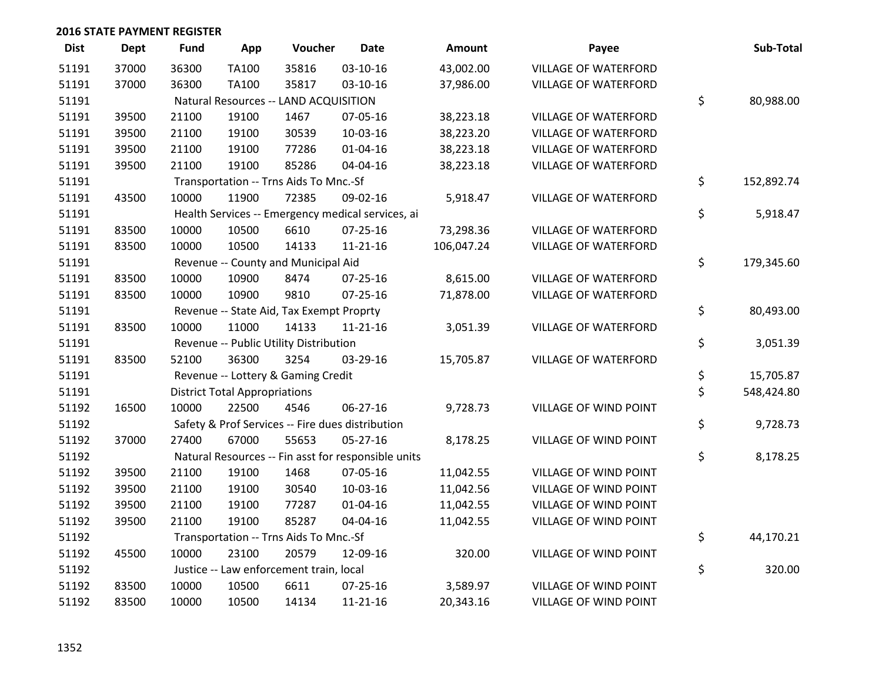| <b>Dist</b> | <b>Dept</b> | Fund  | App                                  | Voucher                                  | <b>Date</b>                                         | <b>Amount</b> | Payee                        | Sub-Total        |
|-------------|-------------|-------|--------------------------------------|------------------------------------------|-----------------------------------------------------|---------------|------------------------------|------------------|
| 51191       | 37000       | 36300 | <b>TA100</b>                         | 35816                                    | $03 - 10 - 16$                                      | 43,002.00     | <b>VILLAGE OF WATERFORD</b>  |                  |
| 51191       | 37000       | 36300 | <b>TA100</b>                         | 35817                                    | 03-10-16                                            | 37,986.00     | VILLAGE OF WATERFORD         |                  |
| 51191       |             |       |                                      | Natural Resources -- LAND ACQUISITION    |                                                     |               |                              | \$<br>80,988.00  |
| 51191       | 39500       | 21100 | 19100                                | 1467                                     | 07-05-16                                            | 38,223.18     | <b>VILLAGE OF WATERFORD</b>  |                  |
| 51191       | 39500       | 21100 | 19100                                | 30539                                    | 10-03-16                                            | 38,223.20     | <b>VILLAGE OF WATERFORD</b>  |                  |
| 51191       | 39500       | 21100 | 19100                                | 77286                                    | $01 - 04 - 16$                                      | 38,223.18     | VILLAGE OF WATERFORD         |                  |
| 51191       | 39500       | 21100 | 19100                                | 85286                                    | 04-04-16                                            | 38,223.18     | VILLAGE OF WATERFORD         |                  |
| 51191       |             |       |                                      | Transportation -- Trns Aids To Mnc.-Sf   |                                                     |               |                              | \$<br>152,892.74 |
| 51191       | 43500       | 10000 | 11900                                | 72385                                    | 09-02-16                                            | 5,918.47      | <b>VILLAGE OF WATERFORD</b>  |                  |
| 51191       |             |       |                                      |                                          | Health Services -- Emergency medical services, ai   |               |                              | \$<br>5,918.47   |
| 51191       | 83500       | 10000 | 10500                                | 6610                                     | 07-25-16                                            | 73,298.36     | VILLAGE OF WATERFORD         |                  |
| 51191       | 83500       | 10000 | 10500                                | 14133                                    | $11 - 21 - 16$                                      | 106,047.24    | VILLAGE OF WATERFORD         |                  |
| 51191       |             |       |                                      | Revenue -- County and Municipal Aid      |                                                     |               |                              | \$<br>179,345.60 |
| 51191       | 83500       | 10000 | 10900                                | 8474                                     | $07 - 25 - 16$                                      | 8,615.00      | <b>VILLAGE OF WATERFORD</b>  |                  |
| 51191       | 83500       | 10000 | 10900                                | 9810                                     | $07 - 25 - 16$                                      | 71,878.00     | <b>VILLAGE OF WATERFORD</b>  |                  |
| 51191       |             |       |                                      | Revenue -- State Aid, Tax Exempt Proprty |                                                     |               |                              | \$<br>80,493.00  |
| 51191       | 83500       | 10000 | 11000                                | 14133                                    | $11 - 21 - 16$                                      | 3,051.39      | <b>VILLAGE OF WATERFORD</b>  |                  |
| 51191       |             |       |                                      | Revenue -- Public Utility Distribution   |                                                     |               |                              | \$<br>3,051.39   |
| 51191       | 83500       | 52100 | 36300                                | 3254                                     | 03-29-16                                            | 15,705.87     | VILLAGE OF WATERFORD         |                  |
| 51191       |             |       |                                      | Revenue -- Lottery & Gaming Credit       |                                                     |               |                              | \$<br>15,705.87  |
| 51191       |             |       | <b>District Total Appropriations</b> |                                          |                                                     |               |                              | \$<br>548,424.80 |
| 51192       | 16500       | 10000 | 22500                                | 4546                                     | 06-27-16                                            | 9,728.73      | VILLAGE OF WIND POINT        |                  |
| 51192       |             |       |                                      |                                          | Safety & Prof Services -- Fire dues distribution    |               |                              | \$<br>9,728.73   |
| 51192       | 37000       | 27400 | 67000                                | 55653                                    | $05 - 27 - 16$                                      | 8,178.25      | <b>VILLAGE OF WIND POINT</b> |                  |
| 51192       |             |       |                                      |                                          | Natural Resources -- Fin asst for responsible units |               |                              | \$<br>8,178.25   |
| 51192       | 39500       | 21100 | 19100                                | 1468                                     | 07-05-16                                            | 11,042.55     | <b>VILLAGE OF WIND POINT</b> |                  |
| 51192       | 39500       | 21100 | 19100                                | 30540                                    | 10-03-16                                            | 11,042.56     | VILLAGE OF WIND POINT        |                  |
| 51192       | 39500       | 21100 | 19100                                | 77287                                    | $01 - 04 - 16$                                      | 11,042.55     | VILLAGE OF WIND POINT        |                  |
| 51192       | 39500       | 21100 | 19100                                | 85287                                    | 04-04-16                                            | 11,042.55     | VILLAGE OF WIND POINT        |                  |
| 51192       |             |       |                                      | Transportation -- Trns Aids To Mnc.-Sf   |                                                     |               |                              | \$<br>44,170.21  |
| 51192       | 45500       | 10000 | 23100                                | 20579                                    | 12-09-16                                            | 320.00        | VILLAGE OF WIND POINT        |                  |
| 51192       |             |       |                                      | Justice -- Law enforcement train, local  |                                                     |               |                              | \$<br>320.00     |
| 51192       | 83500       | 10000 | 10500                                | 6611                                     | 07-25-16                                            | 3,589.97      | <b>VILLAGE OF WIND POINT</b> |                  |
| 51192       | 83500       | 10000 | 10500                                | 14134                                    | 11-21-16                                            | 20,343.16     | VILLAGE OF WIND POINT        |                  |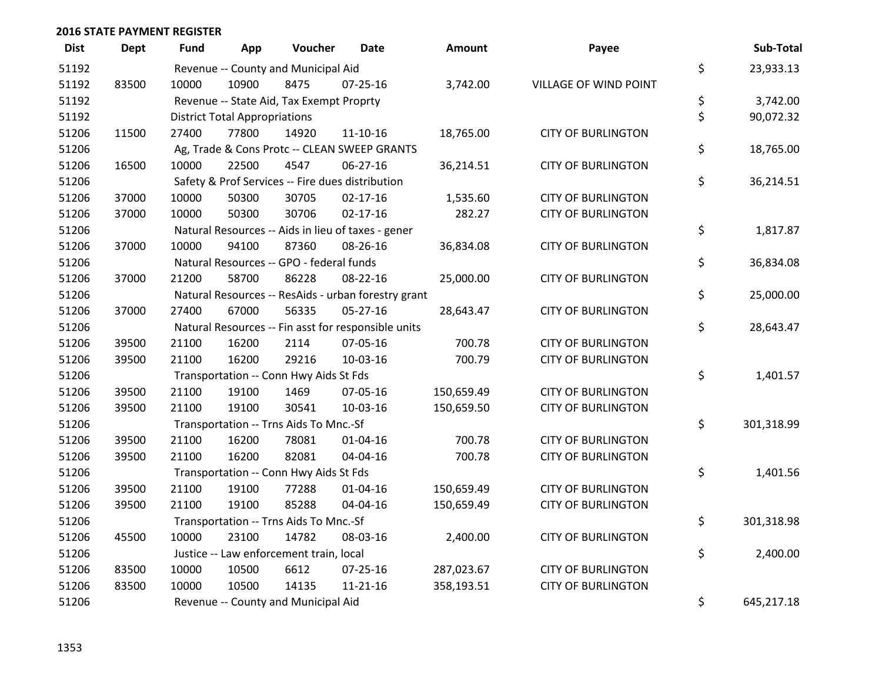| <b>Dist</b> | <b>Dept</b> | <b>Fund</b> | App                                  | Voucher                                             | <b>Date</b>    | Amount     | Payee                     | Sub-Total        |
|-------------|-------------|-------------|--------------------------------------|-----------------------------------------------------|----------------|------------|---------------------------|------------------|
| 51192       |             |             |                                      | Revenue -- County and Municipal Aid                 |                |            |                           | \$<br>23,933.13  |
| 51192       | 83500       | 10000       | 10900                                | 8475                                                | $07 - 25 - 16$ | 3,742.00   | VILLAGE OF WIND POINT     |                  |
| 51192       |             |             |                                      | Revenue -- State Aid, Tax Exempt Proprty            |                |            |                           | \$<br>3,742.00   |
| 51192       |             |             | <b>District Total Appropriations</b> |                                                     |                |            |                           | \$<br>90,072.32  |
| 51206       | 11500       | 27400       | 77800                                | 14920                                               | $11 - 10 - 16$ | 18,765.00  | <b>CITY OF BURLINGTON</b> |                  |
| 51206       |             |             |                                      | Ag, Trade & Cons Protc -- CLEAN SWEEP GRANTS        |                |            |                           | \$<br>18,765.00  |
| 51206       | 16500       | 10000       | 22500                                | 4547                                                | 06-27-16       | 36,214.51  | <b>CITY OF BURLINGTON</b> |                  |
| 51206       |             |             |                                      | Safety & Prof Services -- Fire dues distribution    |                |            |                           | \$<br>36,214.51  |
| 51206       | 37000       | 10000       | 50300                                | 30705                                               | $02 - 17 - 16$ | 1,535.60   | <b>CITY OF BURLINGTON</b> |                  |
| 51206       | 37000       | 10000       | 50300                                | 30706                                               | $02 - 17 - 16$ | 282.27     | <b>CITY OF BURLINGTON</b> |                  |
| 51206       |             |             |                                      | Natural Resources -- Aids in lieu of taxes - gener  |                |            |                           | \$<br>1,817.87   |
| 51206       | 37000       | 10000       | 94100                                | 87360                                               | 08-26-16       | 36,834.08  | <b>CITY OF BURLINGTON</b> |                  |
| 51206       |             |             |                                      | Natural Resources -- GPO - federal funds            |                |            |                           | \$<br>36,834.08  |
| 51206       | 37000       | 21200       | 58700                                | 86228                                               | 08-22-16       | 25,000.00  | <b>CITY OF BURLINGTON</b> |                  |
| 51206       |             |             |                                      | Natural Resources -- ResAids - urban forestry grant |                |            |                           | \$<br>25,000.00  |
| 51206       | 37000       | 27400       | 67000                                | 56335                                               | $05 - 27 - 16$ | 28,643.47  | <b>CITY OF BURLINGTON</b> |                  |
| 51206       |             |             |                                      | Natural Resources -- Fin asst for responsible units |                |            |                           | \$<br>28,643.47  |
| 51206       | 39500       | 21100       | 16200                                | 2114                                                | 07-05-16       | 700.78     | <b>CITY OF BURLINGTON</b> |                  |
| 51206       | 39500       | 21100       | 16200                                | 29216                                               | 10-03-16       | 700.79     | <b>CITY OF BURLINGTON</b> |                  |
| 51206       |             |             |                                      | Transportation -- Conn Hwy Aids St Fds              |                |            |                           | \$<br>1,401.57   |
| 51206       | 39500       | 21100       | 19100                                | 1469                                                | 07-05-16       | 150,659.49 | <b>CITY OF BURLINGTON</b> |                  |
| 51206       | 39500       | 21100       | 19100                                | 30541                                               | 10-03-16       | 150,659.50 | <b>CITY OF BURLINGTON</b> |                  |
| 51206       |             |             |                                      | Transportation -- Trns Aids To Mnc.-Sf              |                |            |                           | \$<br>301,318.99 |
| 51206       | 39500       | 21100       | 16200                                | 78081                                               | $01 - 04 - 16$ | 700.78     | <b>CITY OF BURLINGTON</b> |                  |
| 51206       | 39500       | 21100       | 16200                                | 82081                                               | 04-04-16       | 700.78     | <b>CITY OF BURLINGTON</b> |                  |
| 51206       |             |             |                                      | Transportation -- Conn Hwy Aids St Fds              |                |            |                           | \$<br>1,401.56   |
| 51206       | 39500       | 21100       | 19100                                | 77288                                               | $01 - 04 - 16$ | 150,659.49 | <b>CITY OF BURLINGTON</b> |                  |
| 51206       | 39500       | 21100       | 19100                                | 85288                                               | 04-04-16       | 150,659.49 | <b>CITY OF BURLINGTON</b> |                  |
| 51206       |             |             |                                      | Transportation -- Trns Aids To Mnc.-Sf              |                |            |                           | \$<br>301,318.98 |
| 51206       | 45500       | 10000       | 23100                                | 14782                                               | 08-03-16       | 2,400.00   | <b>CITY OF BURLINGTON</b> |                  |
| 51206       |             |             |                                      | Justice -- Law enforcement train, local             |                |            |                           | \$<br>2,400.00   |
| 51206       | 83500       | 10000       | 10500                                | 6612                                                | $07 - 25 - 16$ | 287,023.67 | <b>CITY OF BURLINGTON</b> |                  |
| 51206       | 83500       | 10000       | 10500                                | 14135                                               | $11 - 21 - 16$ | 358,193.51 | <b>CITY OF BURLINGTON</b> |                  |
| 51206       |             |             |                                      | Revenue -- County and Municipal Aid                 |                |            |                           | \$<br>645,217.18 |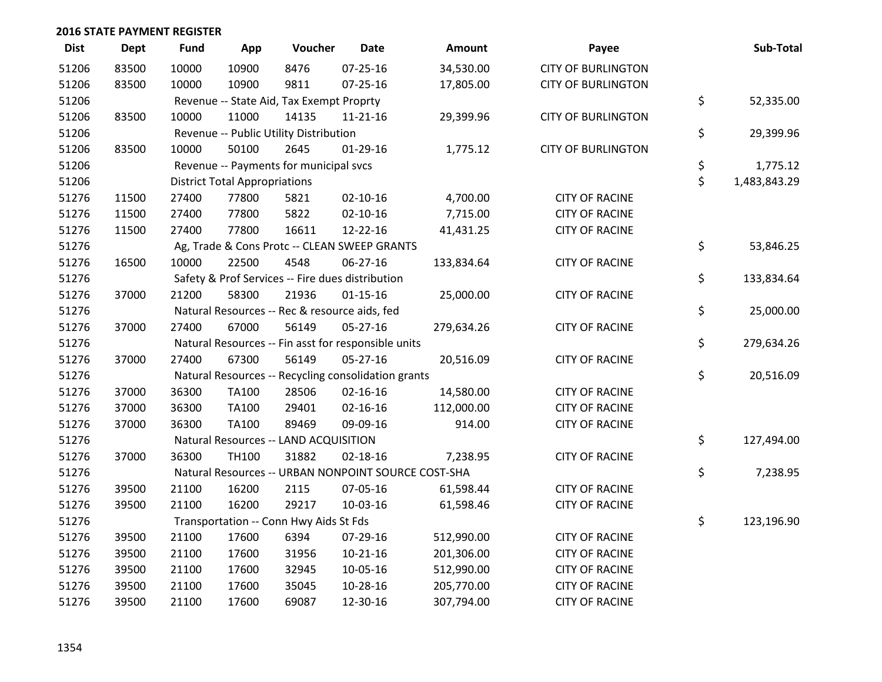| <b>Dist</b> | Dept  | <b>Fund</b> | App                                  | Voucher                                       | <b>Date</b>                                         | Amount                                              | Payee                     | Sub-Total          |
|-------------|-------|-------------|--------------------------------------|-----------------------------------------------|-----------------------------------------------------|-----------------------------------------------------|---------------------------|--------------------|
| 51206       | 83500 | 10000       | 10900                                | 8476                                          | $07 - 25 - 16$                                      | 34,530.00                                           | <b>CITY OF BURLINGTON</b> |                    |
| 51206       | 83500 | 10000       | 10900                                | 9811                                          | 07-25-16                                            | 17,805.00                                           | <b>CITY OF BURLINGTON</b> |                    |
| 51206       |       |             |                                      | Revenue -- State Aid, Tax Exempt Proprty      |                                                     |                                                     |                           | \$<br>52,335.00    |
| 51206       | 83500 | 10000       | 11000                                | 14135                                         | 11-21-16                                            | 29,399.96                                           | <b>CITY OF BURLINGTON</b> |                    |
| 51206       |       |             |                                      | Revenue -- Public Utility Distribution        |                                                     |                                                     |                           | \$<br>29,399.96    |
| 51206       | 83500 | 10000       | 50100                                | 2645                                          | $01-29-16$                                          | 1,775.12                                            | <b>CITY OF BURLINGTON</b> |                    |
| 51206       |       |             |                                      | Revenue -- Payments for municipal svcs        |                                                     |                                                     |                           | \$<br>1,775.12     |
| 51206       |       |             | <b>District Total Appropriations</b> |                                               |                                                     |                                                     |                           | \$<br>1,483,843.29 |
| 51276       | 11500 | 27400       | 77800                                | 5821                                          | $02 - 10 - 16$                                      | 4,700.00                                            | <b>CITY OF RACINE</b>     |                    |
| 51276       | 11500 | 27400       | 77800                                | 5822                                          | $02 - 10 - 16$                                      | 7,715.00                                            | <b>CITY OF RACINE</b>     |                    |
| 51276       | 11500 | 27400       | 77800                                | 16611                                         | 12-22-16                                            | 41,431.25                                           | <b>CITY OF RACINE</b>     |                    |
| 51276       |       |             |                                      |                                               | Ag, Trade & Cons Protc -- CLEAN SWEEP GRANTS        |                                                     |                           | \$<br>53,846.25    |
| 51276       | 16500 | 10000       | 22500                                | 4548                                          | 06-27-16                                            | 133,834.64                                          | <b>CITY OF RACINE</b>     |                    |
| 51276       |       |             |                                      |                                               | Safety & Prof Services -- Fire dues distribution    |                                                     |                           | \$<br>133,834.64   |
| 51276       | 37000 | 21200       | 58300                                | 21936                                         | $01 - 15 - 16$                                      | 25,000.00                                           | <b>CITY OF RACINE</b>     |                    |
| 51276       |       |             |                                      | Natural Resources -- Rec & resource aids, fed |                                                     |                                                     |                           | \$<br>25,000.00    |
| 51276       | 37000 | 27400       | 67000                                | 56149                                         | $05-27-16$                                          | 279,634.26                                          | <b>CITY OF RACINE</b>     |                    |
| 51276       |       |             |                                      |                                               | Natural Resources -- Fin asst for responsible units |                                                     |                           | \$<br>279,634.26   |
| 51276       | 37000 | 27400       | 67300                                | 56149                                         | 05-27-16                                            | 20,516.09                                           | <b>CITY OF RACINE</b>     |                    |
| 51276       |       |             |                                      |                                               | Natural Resources -- Recycling consolidation grants |                                                     |                           | \$<br>20,516.09    |
| 51276       | 37000 | 36300       | TA100                                | 28506                                         | $02 - 16 - 16$                                      | 14,580.00                                           | <b>CITY OF RACINE</b>     |                    |
| 51276       | 37000 | 36300       | TA100                                | 29401                                         | $02 - 16 - 16$                                      | 112,000.00                                          | <b>CITY OF RACINE</b>     |                    |
| 51276       | 37000 | 36300       | TA100                                | 89469                                         | 09-09-16                                            | 914.00                                              | <b>CITY OF RACINE</b>     |                    |
| 51276       |       |             |                                      | Natural Resources -- LAND ACQUISITION         |                                                     |                                                     |                           | \$<br>127,494.00   |
| 51276       | 37000 | 36300       | TH100                                | 31882                                         | $02 - 18 - 16$                                      | 7,238.95                                            | <b>CITY OF RACINE</b>     |                    |
| 51276       |       |             |                                      |                                               |                                                     | Natural Resources -- URBAN NONPOINT SOURCE COST-SHA |                           | \$<br>7,238.95     |
| 51276       | 39500 | 21100       | 16200                                | 2115                                          | 07-05-16                                            | 61,598.44                                           | <b>CITY OF RACINE</b>     |                    |
| 51276       | 39500 | 21100       | 16200                                | 29217                                         | 10-03-16                                            | 61,598.46                                           | <b>CITY OF RACINE</b>     |                    |
| 51276       |       |             |                                      | Transportation -- Conn Hwy Aids St Fds        |                                                     |                                                     |                           | \$<br>123,196.90   |
| 51276       | 39500 | 21100       | 17600                                | 6394                                          | 07-29-16                                            | 512,990.00                                          | <b>CITY OF RACINE</b>     |                    |
| 51276       | 39500 | 21100       | 17600                                | 31956                                         | $10-21-16$                                          | 201,306.00                                          | <b>CITY OF RACINE</b>     |                    |
| 51276       | 39500 | 21100       | 17600                                | 32945                                         | 10-05-16                                            | 512,990.00                                          | <b>CITY OF RACINE</b>     |                    |
| 51276       | 39500 | 21100       | 17600                                | 35045                                         | 10-28-16                                            | 205,770.00                                          | <b>CITY OF RACINE</b>     |                    |
| 51276       | 39500 | 21100       | 17600                                | 69087                                         | 12-30-16                                            | 307,794.00                                          | <b>CITY OF RACINE</b>     |                    |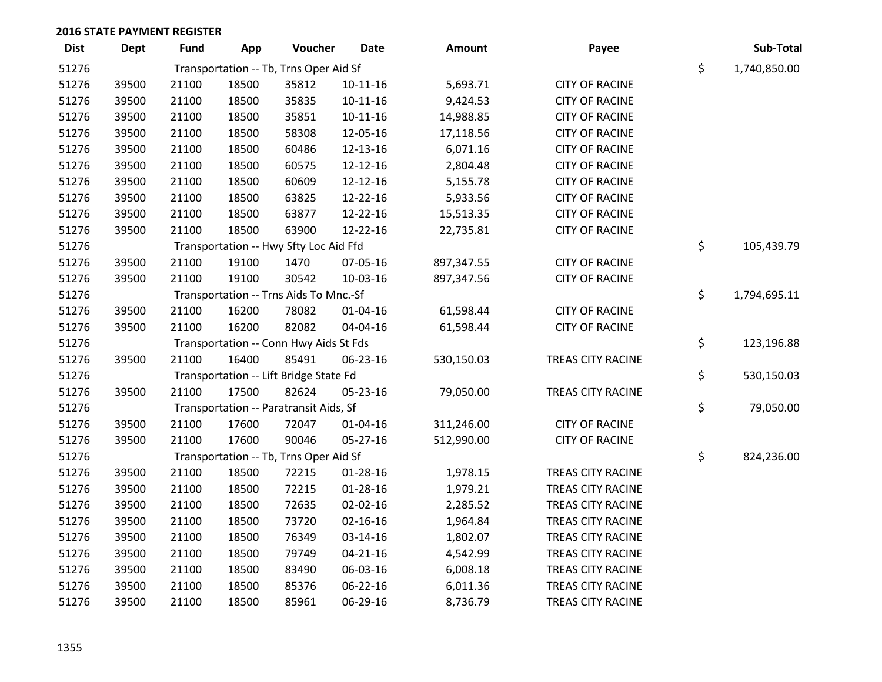| <b>Dist</b> | <b>Dept</b> | <b>Fund</b> | App   | Voucher                                | <b>Date</b>    | Amount     | Payee                    | Sub-Total          |
|-------------|-------------|-------------|-------|----------------------------------------|----------------|------------|--------------------------|--------------------|
| 51276       |             |             |       | Transportation -- Tb, Trns Oper Aid Sf |                |            |                          | \$<br>1,740,850.00 |
| 51276       | 39500       | 21100       | 18500 | 35812                                  | $10-11-16$     | 5,693.71   | <b>CITY OF RACINE</b>    |                    |
| 51276       | 39500       | 21100       | 18500 | 35835                                  | $10 - 11 - 16$ | 9,424.53   | <b>CITY OF RACINE</b>    |                    |
| 51276       | 39500       | 21100       | 18500 | 35851                                  | $10-11-16$     | 14,988.85  | <b>CITY OF RACINE</b>    |                    |
| 51276       | 39500       | 21100       | 18500 | 58308                                  | 12-05-16       | 17,118.56  | <b>CITY OF RACINE</b>    |                    |
| 51276       | 39500       | 21100       | 18500 | 60486                                  | 12-13-16       | 6,071.16   | <b>CITY OF RACINE</b>    |                    |
| 51276       | 39500       | 21100       | 18500 | 60575                                  | 12-12-16       | 2,804.48   | <b>CITY OF RACINE</b>    |                    |
| 51276       | 39500       | 21100       | 18500 | 60609                                  | 12-12-16       | 5,155.78   | <b>CITY OF RACINE</b>    |                    |
| 51276       | 39500       | 21100       | 18500 | 63825                                  | 12-22-16       | 5,933.56   | <b>CITY OF RACINE</b>    |                    |
| 51276       | 39500       | 21100       | 18500 | 63877                                  | 12-22-16       | 15,513.35  | <b>CITY OF RACINE</b>    |                    |
| 51276       | 39500       | 21100       | 18500 | 63900                                  | 12-22-16       | 22,735.81  | <b>CITY OF RACINE</b>    |                    |
| 51276       |             |             |       | Transportation -- Hwy Sfty Loc Aid Ffd |                |            |                          | \$<br>105,439.79   |
| 51276       | 39500       | 21100       | 19100 | 1470                                   | 07-05-16       | 897,347.55 | <b>CITY OF RACINE</b>    |                    |
| 51276       | 39500       | 21100       | 19100 | 30542                                  | 10-03-16       | 897,347.56 | <b>CITY OF RACINE</b>    |                    |
| 51276       |             |             |       | Transportation -- Trns Aids To Mnc.-Sf |                |            |                          | \$<br>1,794,695.11 |
| 51276       | 39500       | 21100       | 16200 | 78082                                  | $01 - 04 - 16$ | 61,598.44  | <b>CITY OF RACINE</b>    |                    |
| 51276       | 39500       | 21100       | 16200 | 82082                                  | 04-04-16       | 61,598.44  | <b>CITY OF RACINE</b>    |                    |
| 51276       |             |             |       | Transportation -- Conn Hwy Aids St Fds |                |            |                          | \$<br>123,196.88   |
| 51276       | 39500       | 21100       | 16400 | 85491                                  | 06-23-16       | 530,150.03 | TREAS CITY RACINE        |                    |
| 51276       |             |             |       | Transportation -- Lift Bridge State Fd |                |            |                          | \$<br>530,150.03   |
| 51276       | 39500       | 21100       | 17500 | 82624                                  | 05-23-16       | 79,050.00  | TREAS CITY RACINE        |                    |
| 51276       |             |             |       | Transportation -- Paratransit Aids, Sf |                |            |                          | \$<br>79,050.00    |
| 51276       | 39500       | 21100       | 17600 | 72047                                  | $01 - 04 - 16$ | 311,246.00 | <b>CITY OF RACINE</b>    |                    |
| 51276       | 39500       | 21100       | 17600 | 90046                                  | 05-27-16       | 512,990.00 | <b>CITY OF RACINE</b>    |                    |
| 51276       |             |             |       | Transportation -- Tb, Trns Oper Aid Sf |                |            |                          | \$<br>824,236.00   |
| 51276       | 39500       | 21100       | 18500 | 72215                                  | 01-28-16       | 1,978.15   | <b>TREAS CITY RACINE</b> |                    |
| 51276       | 39500       | 21100       | 18500 | 72215                                  | $01 - 28 - 16$ | 1,979.21   | <b>TREAS CITY RACINE</b> |                    |
| 51276       | 39500       | 21100       | 18500 | 72635                                  | 02-02-16       | 2,285.52   | <b>TREAS CITY RACINE</b> |                    |
| 51276       | 39500       | 21100       | 18500 | 73720                                  | $02 - 16 - 16$ | 1,964.84   | <b>TREAS CITY RACINE</b> |                    |
| 51276       | 39500       | 21100       | 18500 | 76349                                  | 03-14-16       | 1,802.07   | TREAS CITY RACINE        |                    |
| 51276       | 39500       | 21100       | 18500 | 79749                                  | $04 - 21 - 16$ | 4,542.99   | <b>TREAS CITY RACINE</b> |                    |
| 51276       | 39500       | 21100       | 18500 | 83490                                  | 06-03-16       | 6,008.18   | TREAS CITY RACINE        |                    |
| 51276       | 39500       | 21100       | 18500 | 85376                                  | 06-22-16       | 6,011.36   | <b>TREAS CITY RACINE</b> |                    |
| 51276       | 39500       | 21100       | 18500 | 85961                                  | 06-29-16       | 8,736.79   | <b>TREAS CITY RACINE</b> |                    |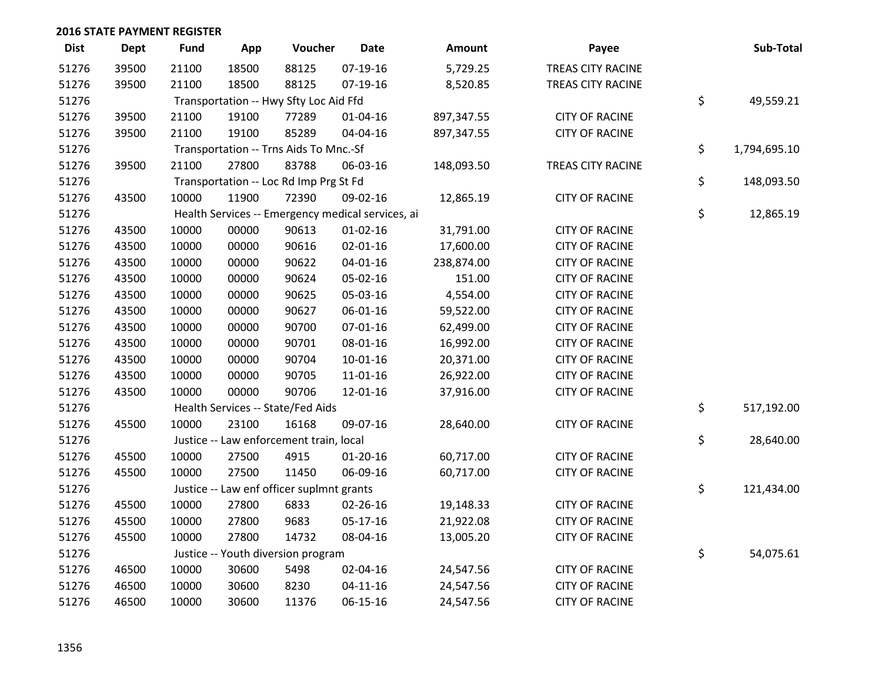| <b>Dist</b> | <b>Dept</b> | <b>Fund</b>                                       | App   | Voucher                                 | <b>Date</b>    | Amount     | Payee                 |    | Sub-Total    |
|-------------|-------------|---------------------------------------------------|-------|-----------------------------------------|----------------|------------|-----------------------|----|--------------|
| 51276       | 39500       | 21100                                             | 18500 | 88125                                   | $07-19-16$     | 5,729.25   | TREAS CITY RACINE     |    |              |
| 51276       | 39500       | 21100                                             | 18500 | 88125                                   | 07-19-16       | 8,520.85   | TREAS CITY RACINE     |    |              |
| 51276       |             | Transportation -- Hwy Sfty Loc Aid Ffd            | \$    | 49,559.21                               |                |            |                       |    |              |
| 51276       | 39500       | 21100                                             | 19100 | 77289                                   | $01 - 04 - 16$ | 897,347.55 | <b>CITY OF RACINE</b> |    |              |
| 51276       | 39500       | 21100                                             | 19100 | 85289                                   | 04-04-16       | 897,347.55 | <b>CITY OF RACINE</b> |    |              |
| 51276       |             | Transportation -- Trns Aids To Mnc.-Sf            |       |                                         |                |            |                       |    | 1,794,695.10 |
| 51276       | 39500       | 21100                                             | 27800 | 83788                                   | 06-03-16       | 148,093.50 | TREAS CITY RACINE     |    |              |
| 51276       |             | Transportation -- Loc Rd Imp Prg St Fd            |       |                                         |                |            |                       |    | 148,093.50   |
| 51276       | 43500       | 10000                                             | 11900 | 72390                                   | 09-02-16       | 12,865.19  | <b>CITY OF RACINE</b> |    |              |
| 51276       |             | Health Services -- Emergency medical services, ai |       |                                         |                |            |                       |    | 12,865.19    |
| 51276       | 43500       | 10000                                             | 00000 | 90613                                   | $01 - 02 - 16$ | 31,791.00  | <b>CITY OF RACINE</b> |    |              |
| 51276       | 43500       | 10000                                             | 00000 | 90616                                   | $02 - 01 - 16$ | 17,600.00  | <b>CITY OF RACINE</b> |    |              |
| 51276       | 43500       | 10000                                             | 00000 | 90622                                   | $04 - 01 - 16$ | 238,874.00 | <b>CITY OF RACINE</b> |    |              |
| 51276       | 43500       | 10000                                             | 00000 | 90624                                   | 05-02-16       | 151.00     | <b>CITY OF RACINE</b> |    |              |
| 51276       | 43500       | 10000                                             | 00000 | 90625                                   | 05-03-16       | 4,554.00   | <b>CITY OF RACINE</b> |    |              |
| 51276       | 43500       | 10000                                             | 00000 | 90627                                   | 06-01-16       | 59,522.00  | <b>CITY OF RACINE</b> |    |              |
| 51276       | 43500       | 10000                                             | 00000 | 90700                                   | 07-01-16       | 62,499.00  | <b>CITY OF RACINE</b> |    |              |
| 51276       | 43500       | 10000                                             | 00000 | 90701                                   | 08-01-16       | 16,992.00  | <b>CITY OF RACINE</b> |    |              |
| 51276       | 43500       | 10000                                             | 00000 | 90704                                   | $10-01-16$     | 20,371.00  | <b>CITY OF RACINE</b> |    |              |
| 51276       | 43500       | 10000                                             | 00000 | 90705                                   | 11-01-16       | 26,922.00  | <b>CITY OF RACINE</b> |    |              |
| 51276       | 43500       | 10000                                             | 00000 | 90706                                   | 12-01-16       | 37,916.00  | <b>CITY OF RACINE</b> |    |              |
| 51276       |             | Health Services -- State/Fed Aids                 |       |                                         |                |            |                       |    | 517,192.00   |
| 51276       | 45500       | 10000                                             | 23100 | 16168                                   | 09-07-16       | 28,640.00  | <b>CITY OF RACINE</b> |    |              |
| 51276       |             |                                                   |       | Justice -- Law enforcement train, local |                |            |                       | \$ | 28,640.00    |
| 51276       | 45500       | 10000                                             | 27500 | 4915                                    | $01-20-16$     | 60,717.00  | <b>CITY OF RACINE</b> |    |              |
| 51276       | 45500       | 10000                                             | 27500 | 11450                                   | 06-09-16       | 60,717.00  | <b>CITY OF RACINE</b> |    |              |
| 51276       |             | Justice -- Law enf officer suplmnt grants         |       |                                         |                |            |                       |    | 121,434.00   |
| 51276       | 45500       | 10000                                             | 27800 | 6833                                    | 02-26-16       | 19,148.33  | <b>CITY OF RACINE</b> |    |              |
| 51276       | 45500       | 10000                                             | 27800 | 9683                                    | 05-17-16       | 21,922.08  | <b>CITY OF RACINE</b> |    |              |
| 51276       | 45500       | 10000                                             | 27800 | 14732                                   | 08-04-16       | 13,005.20  | <b>CITY OF RACINE</b> |    |              |
| 51276       |             | Justice -- Youth diversion program                | \$    | 54,075.61                               |                |            |                       |    |              |
| 51276       | 46500       | 10000                                             | 30600 | 5498                                    | 02-04-16       | 24,547.56  | <b>CITY OF RACINE</b> |    |              |
| 51276       | 46500       | 10000                                             | 30600 | 8230                                    | $04 - 11 - 16$ | 24,547.56  | <b>CITY OF RACINE</b> |    |              |
| 51276       | 46500       | 10000                                             | 30600 | 11376                                   | 06-15-16       | 24,547.56  | <b>CITY OF RACINE</b> |    |              |